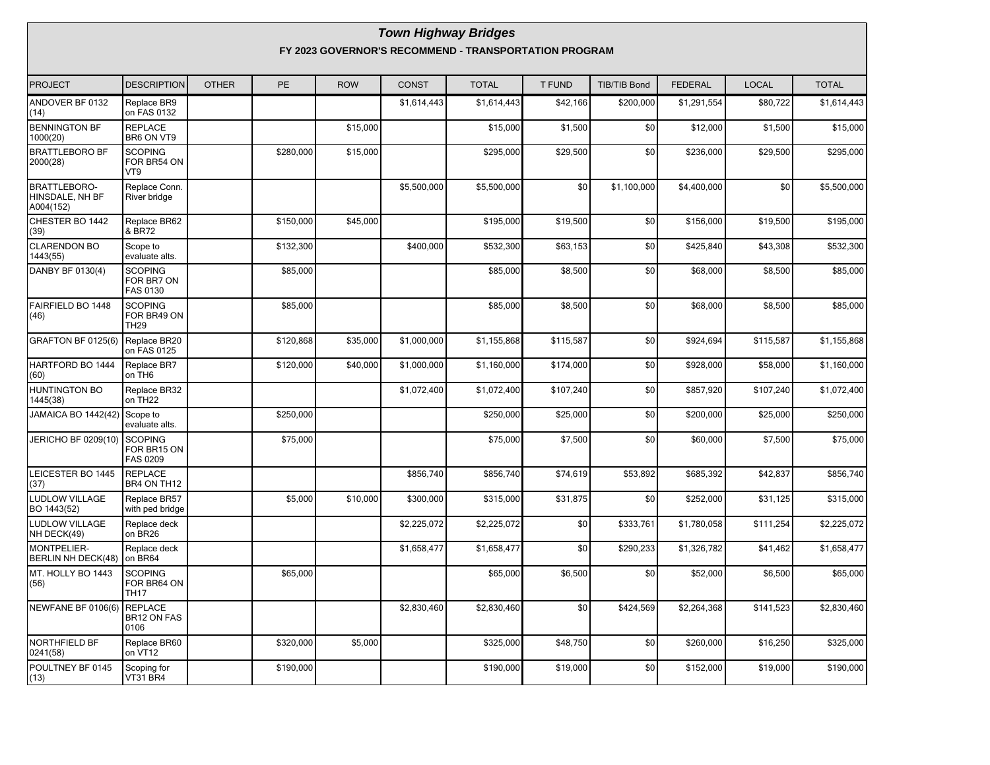#### **Town Highway Bridges FY 2023 GOVERNOR'S RECOMMEND - TRANSPORTATION PROGRAM**

| <b>PROJECT</b>                                      | <b>DESCRIPTION</b>                              | <b>OTHER</b> | <b>PE</b> | <b>ROW</b> | <b>CONST</b> | <b>TOTAL</b> | <b>T FUND</b> | <b>TIB/TIB Bond</b> | <b>FEDERAL</b> | <b>LOCAL</b> | <b>TOTAL</b> |
|-----------------------------------------------------|-------------------------------------------------|--------------|-----------|------------|--------------|--------------|---------------|---------------------|----------------|--------------|--------------|
| ANDOVER BF 0132<br>(14)                             | Replace BR9<br>on FAS 0132                      |              |           |            | \$1,614,443  | \$1,614,443  | \$42,166      | \$200,000           | \$1,291,554    | \$80,722     | \$1,614,443  |
| <b>BENNINGTON BF</b><br>1000(20)                    | <b>REPLACE</b><br>BR6 ON VT9                    |              |           | \$15,000   |              | \$15,000     | \$1,500       | \$0                 | \$12,000       | \$1,500      | \$15,000     |
| <b>BRATTLEBORO BF</b><br>2000(28)                   | <b>SCOPING</b><br>FOR BR54 ON<br>VT9            |              | \$280,000 | \$15,000   |              | \$295,000    | \$29,500      | \$0                 | \$236,000      | \$29,500     | \$295,000    |
| <b>BRATTLEBORO-</b><br>HINSDALE, NH BF<br>A004(152) | Replace Conn.<br>River bridge                   |              |           |            | \$5,500,000  | \$5,500,000  | \$0           | \$1,100,000         | \$4,400,000    | \$0          | \$5,500,000  |
| CHESTER BO 1442<br>(39)                             | Replace BR62<br>& BR72                          |              | \$150,000 | \$45,000   |              | \$195,000    | \$19,500      | \$0                 | \$156,000      | \$19,500     | \$195,000    |
| <b>CLARENDON BO</b><br>1443(55)                     | Scope to<br>evaluate alts.                      |              | \$132,300 |            | \$400,000    | \$532,300    | \$63,153      | \$0                 | \$425,840      | \$43,308     | \$532,300    |
| DANBY BF 0130(4)                                    | <b>SCOPING</b><br>FOR BR7 ON<br><b>FAS 0130</b> |              | \$85,000  |            |              | \$85,000     | \$8,500       | \$0                 | \$68,000       | \$8,500      | \$85,000     |
| FAIRFIELD BO 1448<br>(46)                           | <b>SCOPING</b><br>FOR BR49 ON<br><b>TH29</b>    |              | \$85,000  |            |              | \$85,000     | \$8,500       | \$0                 | \$68,000       | \$8,500      | \$85,000     |
| GRAFTON BF 0125(6)                                  | Replace BR20<br>on FAS 0125                     |              | \$120,868 | \$35,000   | \$1,000,000  | \$1,155,868  | \$115,587     | \$0                 | \$924,694      | \$115,587    | \$1,155,868  |
| HARTFORD BO 1444<br>(60)                            | Replace BR7<br>on TH <sub>6</sub>               |              | \$120,000 | \$40,000   | \$1,000,000  | \$1,160,000  | \$174,000     | \$0                 | \$928,000      | \$58,000     | \$1,160,000  |
| <b>HUNTINGTON BO</b><br>1445(38)                    | Replace BR32<br>on TH22                         |              |           |            | \$1,072,400  | \$1,072,400  | \$107,240     | \$0                 | \$857,920      | \$107,240    | \$1,072,400  |
| <b>JAMAICA BO 1442(42)</b>                          | Scope to<br>evaluate alts.                      |              | \$250,000 |            |              | \$250,000    | \$25,000      | \$0                 | \$200,000      | \$25,000     | \$250,000    |
| <b>JERICHO BF 0209(10)</b>                          | <b>SCOPING</b><br>FOR BR15 ON<br>FAS 0209       |              | \$75,000  |            |              | \$75,000     | \$7,500       | \$0                 | \$60,000       | \$7,500      | \$75,000     |
| LEICESTER BO 1445<br>(37)                           | <b>REPLACE</b><br>BR4 ON TH12                   |              |           |            | \$856,740    | \$856,740    | \$74,619      | \$53,892            | \$685,392      | \$42,837     | \$856,740    |
| <b>LUDLOW VILLAGE</b><br>BO 1443(52)                | Replace BR57<br>with ped bridge                 |              | \$5,000   | \$10,000   | \$300,000    | \$315,000    | \$31,875      | \$0                 | \$252,000      | \$31,125     | \$315,000    |
| <b>LUDLOW VILLAGE</b><br>NH DECK(49)                | Replace deck<br>on BR26                         |              |           |            | \$2,225,072  | \$2,225,072  | \$0           | \$333,761           | \$1,780,058    | \$111,254    | \$2,225,072  |
| <b>MONTPELIER-</b><br><b>BERLIN NH DECK(48)</b>     | Replace deck<br>on BR64                         |              |           |            | \$1,658,477  | \$1,658,477  | \$0           | \$290,233           | \$1,326,782    | \$41,462     | \$1,658,477  |
| MT. HOLLY BO 1443<br>(56)                           | <b>SCOPING</b><br>FOR BR64 ON<br><b>TH17</b>    |              | \$65,000  |            |              | \$65,000     | \$6,500       | \$0                 | \$52,000       | \$6,500      | \$65,000     |
| <b>NEWFANE BF 0106(6)</b>                           | <b>REPLACE</b><br>BR12 ON FAS<br>0106           |              |           |            | \$2,830,460  | \$2,830,460  | \$0           | \$424,569           | \$2,264,368    | \$141,523    | \$2,830,460  |
| NORTHFIELD BF<br>0241(58)                           | Replace BR60<br>on VT12                         |              | \$320,000 | \$5,000    |              | \$325,000    | \$48,750      | \$0                 | \$260,000      | \$16,250     | \$325,000    |
| POULTNEY BF 0145<br>(13)                            | Scoping for<br><b>VT31 BR4</b>                  |              | \$190,000 |            |              | \$190,000    | \$19,000      | \$0                 | \$152,000      | \$19,000     | \$190,000    |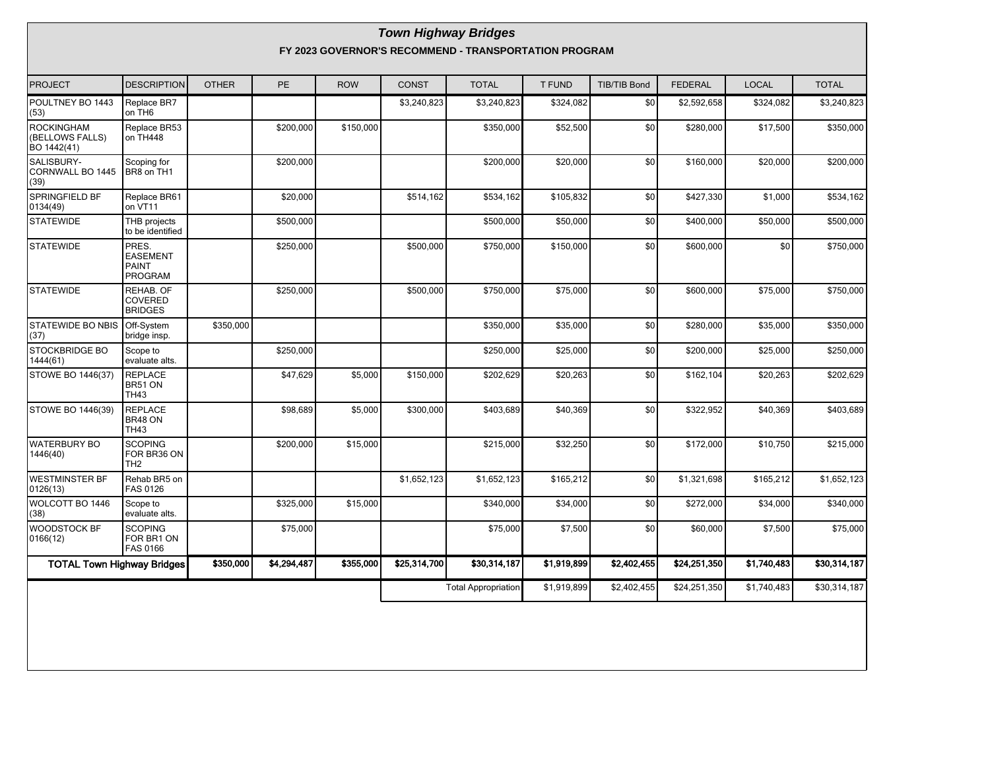#### **Town Highway Bridges FY 2023 GOVERNOR'S RECOMMEND - TRANSPORTATION PROGRAM**

| <b>PROJECT</b>                               | <b>DESCRIPTION</b>                                         | <b>OTHER</b> | <b>PE</b>   | <b>ROW</b> | <b>CONST</b> | <b>TOTAL</b>               | <b>T FUND</b> | <b>TIB/TIB Bond</b> | <b>FEDERAL</b> | <b>LOCAL</b> | <b>TOTAL</b> |
|----------------------------------------------|------------------------------------------------------------|--------------|-------------|------------|--------------|----------------------------|---------------|---------------------|----------------|--------------|--------------|
| POULTNEY BO 1443<br>(53)                     | Replace BR7<br>on TH6                                      |              |             |            | \$3,240,823  | \$3,240,823                | \$324,082     | \$0                 | \$2,592,658    | \$324,082    | \$3,240,823  |
| ROCKINGHAM<br>(BELLOWS FALLS)<br>BO 1442(41) | Replace BR53<br>on TH448                                   |              | \$200,000   | \$150,000  |              | \$350,000                  | \$52,500      | \$0                 | \$280,000      | \$17,500     | \$350,000    |
| SALISBURY-<br>CORNWALL BO 1445<br>(39)       | Scoping for<br>BR8 on TH1                                  |              | \$200,000   |            |              | \$200,000                  | \$20,000      | \$0                 | \$160,000      | \$20,000     | \$200,000    |
| SPRINGFIELD BF<br>0134(49)                   | Replace BR61<br>on VT11                                    |              | \$20,000    |            | \$514,162    | \$534,162                  | \$105,832     | \$0                 | \$427,330      | \$1,000      | \$534,162    |
| <b>STATEWIDE</b>                             | THB projects<br>to be identified                           |              | \$500,000   |            |              | \$500,000                  | \$50,000      | \$0                 | \$400,000      | \$50,000     | \$500,000    |
| <b>STATEWIDE</b>                             | PRES.<br><b>EASEMENT</b><br><b>PAINT</b><br><b>PROGRAM</b> |              | \$250,000   |            | \$500,000    | \$750,000                  | \$150,000     | \$0                 | \$600,000      | \$0          | \$750,000    |
| <b>STATEWIDE</b>                             | REHAB. OF<br><b>COVERED</b><br><b>BRIDGES</b>              |              | \$250,000   |            | \$500,000    | \$750,000                  | \$75,000      | \$0                 | \$600,000      | \$75,000     | \$750,000    |
| <b>STATEWIDE BO NBIS</b><br>(37)             | Off-System<br>bridge insp.                                 | \$350,000    |             |            |              | \$350,000                  | \$35,000      | \$0                 | \$280,000      | \$35,000     | \$350,000    |
| STOCKBRIDGE BO<br>1444(61)                   | Scope to<br>evaluate alts.                                 |              | \$250,000   |            |              | \$250,000                  | \$25,000      | \$0                 | \$200,000      | \$25,000     | \$250,000    |
| STOWE BO 1446(37)                            | <b>REPLACE</b><br>BR51 ON<br><b>TH43</b>                   |              | \$47,629    | \$5,000    | \$150,000    | \$202,629                  | \$20,263      | \$0                 | \$162,104      | \$20,263     | \$202,629    |
| STOWE BO 1446(39)                            | <b>REPLACE</b><br>BR48 ON<br><b>TH43</b>                   |              | \$98,689    | \$5,000    | \$300,000    | \$403,689                  | \$40,369      | \$0                 | \$322,952      | \$40,369     | \$403,689    |
| <b>WATERBURY BO</b><br>1446(40)              | <b>SCOPING</b><br>FOR BR36 ON<br>TH <sub>2</sub>           |              | \$200,000   | \$15,000   |              | \$215,000                  | \$32,250      | \$0                 | \$172,000      | \$10,750     | \$215,000    |
| <b>WESTMINSTER BF</b><br>0126(13)            | Rehab BR5 on<br>FAS 0126                                   |              |             |            | \$1,652,123  | \$1,652,123                | \$165,212     | \$0                 | \$1,321,698    | \$165,212    | \$1,652,123  |
| WOLCOTT BO 1446<br>(38)                      | Scope to<br>evaluate alts.                                 |              | \$325,000   | \$15,000   |              | \$340,000                  | \$34,000      | \$0                 | \$272,000      | \$34,000     | \$340,000    |
| <b>WOODSTOCK BF</b><br>0166(12)              | <b>SCOPING</b><br>FOR BR1 ON<br><b>FAS 0166</b>            |              | \$75,000    |            |              | \$75,000                   | \$7,500       | \$0                 | \$60,000       | \$7,500      | \$75,000     |
| <b>TOTAL Town Highway Bridges</b>            |                                                            | \$350,000    | \$4,294,487 | \$355,000  | \$25,314,700 | \$30,314,187               | \$1,919,899   | \$2,402,455         | \$24,251,350   | \$1,740,483  | \$30,314,187 |
|                                              |                                                            |              |             |            |              | <b>Total Appropriation</b> | \$1,919,899   | \$2,402,455         | \$24,251,350   | \$1,740,483  | \$30,314,187 |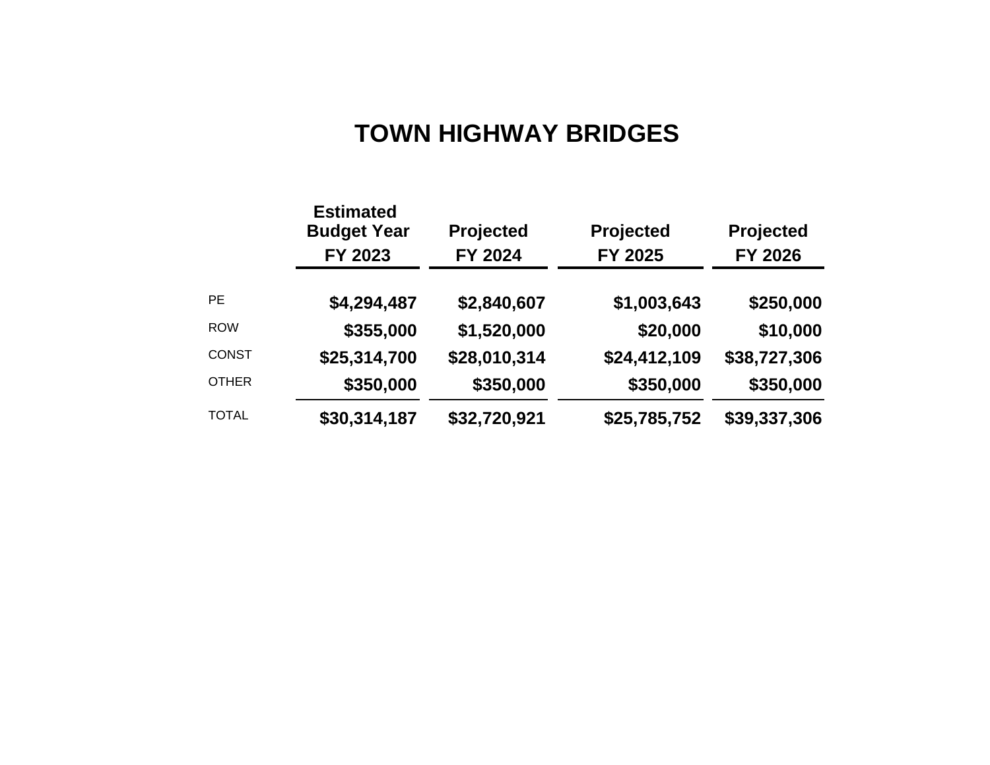# **TOWN HIGHWAY BRIDGES**

|              | <b>Estimated</b><br><b>Budget Year</b><br>FY 2023 | Projected<br>FY 2024 | Projected<br>FY 2025 | Projected<br><b>FY 2026</b> |
|--------------|---------------------------------------------------|----------------------|----------------------|-----------------------------|
| <b>PE</b>    | \$4,294,487                                       | \$2,840,607          | \$1,003,643          | \$250,000                   |
| <b>ROW</b>   | \$355,000                                         | \$1,520,000          | \$20,000             | \$10,000                    |
| <b>CONST</b> | \$25,314,700                                      | \$28,010,314         | \$24,412,109         | \$38,727,306                |
| <b>OTHER</b> | \$350,000                                         | \$350,000            | \$350,000            | \$350,000                   |
| <b>TOTAL</b> | \$30,314,187                                      | \$32,720,921         | \$25,785,752         | \$39,337,306                |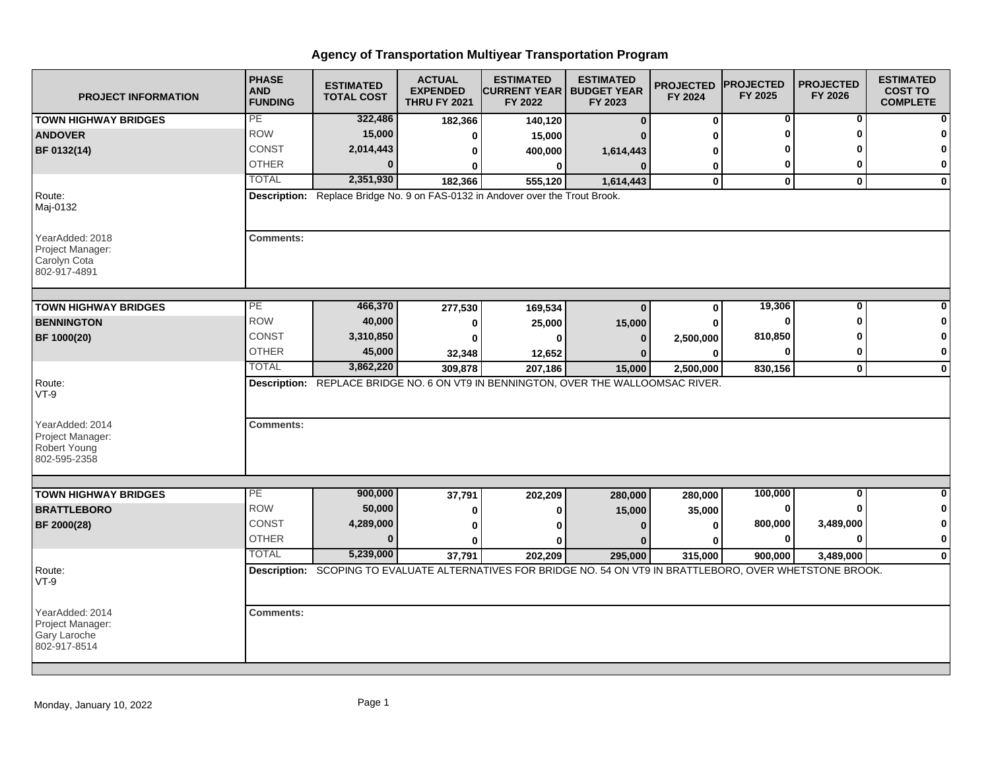| <b>PROJECT INFORMATION</b>                                                              | <b>PHASE</b><br><b>AND</b><br><b>FUNDING</b> | <b>ESTIMATED</b><br><b>TOTAL COST</b>                                                                        | <b>ACTUAL</b><br><b>EXPENDED</b><br><b>THRU FY 2021</b> | <b>ESTIMATED</b><br><b>CURRENT YEAR   BUDGET YEAR</b><br>FY 2022 | <b>ESTIMATED</b><br>FY 2023 | <b>PROJECTED</b><br>FY 2024 | <b>PROJECTED</b><br>FY 2025 | <b>PROJECTED</b><br>FY 2026 | <b>ESTIMATED</b><br><b>COST TO</b><br><b>COMPLETE</b> |
|-----------------------------------------------------------------------------------------|----------------------------------------------|--------------------------------------------------------------------------------------------------------------|---------------------------------------------------------|------------------------------------------------------------------|-----------------------------|-----------------------------|-----------------------------|-----------------------------|-------------------------------------------------------|
| <b>TOWN HIGHWAY BRIDGES</b>                                                             | PE                                           | 322,486                                                                                                      | 182,366                                                 | 140,120                                                          | $\mathbf{0}$                | $\mathbf 0$                 | 0                           | 0                           |                                                       |
| <b>ANDOVER</b>                                                                          | <b>ROW</b>                                   | 15,000                                                                                                       | 0                                                       | 15,000                                                           |                             |                             |                             | ŋ                           |                                                       |
| BF 0132(14)                                                                             | CONST                                        | 2,014,443                                                                                                    | 0                                                       | 400,000                                                          | 1,614,443                   |                             |                             |                             |                                                       |
|                                                                                         | <b>OTHER</b>                                 |                                                                                                              | 0                                                       | $\bf{0}$                                                         | $\bf{0}$                    | 0                           | 0                           | 0                           | $\mathbf{0}$                                          |
|                                                                                         | <b>TOTAL</b>                                 | 2,351,930                                                                                                    | 182,366                                                 | 555,120                                                          | 1,614,443                   | $\mathbf 0$                 | $\mathbf 0$                 | $\mathbf{0}$                | $\mathbf 0$                                           |
| Route:<br>Maj-0132                                                                      |                                              | Description: Replace Bridge No. 9 on FAS-0132 in Andover over the Trout Brook.                               |                                                         |                                                                  |                             |                             |                             |                             |                                                       |
| YearAdded: 2018<br>Project Manager:<br>Carolyn Cota<br>802-917-4891                     | <b>Comments:</b>                             |                                                                                                              |                                                         |                                                                  |                             |                             |                             |                             |                                                       |
| <b>TOWN HIGHWAY BRIDGES</b>                                                             | $\overline{PE}$                              | 466,370                                                                                                      |                                                         |                                                                  | $\Omega$                    | 0                           | 19,306                      | 0                           | 0                                                     |
| <b>BENNINGTON</b>                                                                       | <b>ROW</b>                                   | 40,000                                                                                                       | 277,530<br>0                                            | 169,534<br>25,000                                                | 15,000                      |                             | 0                           | ŋ                           |                                                       |
| BF 1000(20)                                                                             | <b>CONST</b>                                 | 3,310,850                                                                                                    | 0                                                       | ŋ                                                                | $\bf{0}$                    | 2,500,000                   | 810,850                     |                             |                                                       |
|                                                                                         | <b>OTHER</b>                                 | 45,000                                                                                                       | 32,348                                                  | 12,652                                                           | $\bf{0}$                    | $\Omega$                    |                             | 0                           | $\mathbf 0$                                           |
|                                                                                         | <b>TOTAL</b>                                 | 3,862,220                                                                                                    | 309.878                                                 | 207,186                                                          | 15,000                      | 2,500,000                   | 830.156                     | $\mathbf{0}$                | $\bf{0}$                                              |
| Route:<br>$VT-9$<br>YearAdded: 2014<br>Project Manager:<br>Robert Young<br>802-595-2358 | <b>Comments:</b>                             | Description: REPLACE BRIDGE NO. 6 ON VT9 IN BENNINGTON, OVER THE WALLOOMSAC RIVER.                           |                                                         |                                                                  |                             |                             |                             |                             |                                                       |
|                                                                                         |                                              |                                                                                                              |                                                         |                                                                  |                             |                             |                             |                             |                                                       |
| <b>TOWN HIGHWAY BRIDGES</b>                                                             | PE                                           | 900,000                                                                                                      | 37,791                                                  | 202,209                                                          | 280,000                     | 280,000                     | 100,000                     | $\overline{0}$              | $\Omega$                                              |
| <b>BRATTLEBORO</b>                                                                      | <b>ROW</b>                                   | 50,000                                                                                                       | 0                                                       | 0                                                                | 15,000                      | 35,000                      | $\bf{0}$                    |                             | $\bf{0}$                                              |
| BF 2000(28)                                                                             | <b>CONST</b>                                 | 4,289,000                                                                                                    | 0                                                       |                                                                  | n                           | O                           | 800,000                     | 3,489,000                   | $\mathbf 0$                                           |
|                                                                                         | <b>OTHER</b>                                 | $\bf{0}$                                                                                                     | U                                                       |                                                                  |                             |                             | $\bf{0}$                    | $\bf{0}$                    | $\pmb{0}$                                             |
|                                                                                         | <b>TOTAL</b>                                 | 5,239,000                                                                                                    | 37,791                                                  | 202,209                                                          | 295,000                     | 315,000                     | 900,000                     | 3,489,000                   | $\mathbf 0$                                           |
| Route:<br>$VT-9$                                                                        |                                              | Description: SCOPING TO EVALUATE ALTERNATIVES FOR BRIDGE NO. 54 ON VT9 IN BRATTLEBORO, OVER WHETSTONE BROOK. |                                                         |                                                                  |                             |                             |                             |                             |                                                       |
| YearAdded: 2014<br>Project Manager:<br>Gary Laroche<br>802-917-8514                     | <b>Comments:</b>                             |                                                                                                              |                                                         |                                                                  |                             |                             |                             |                             |                                                       |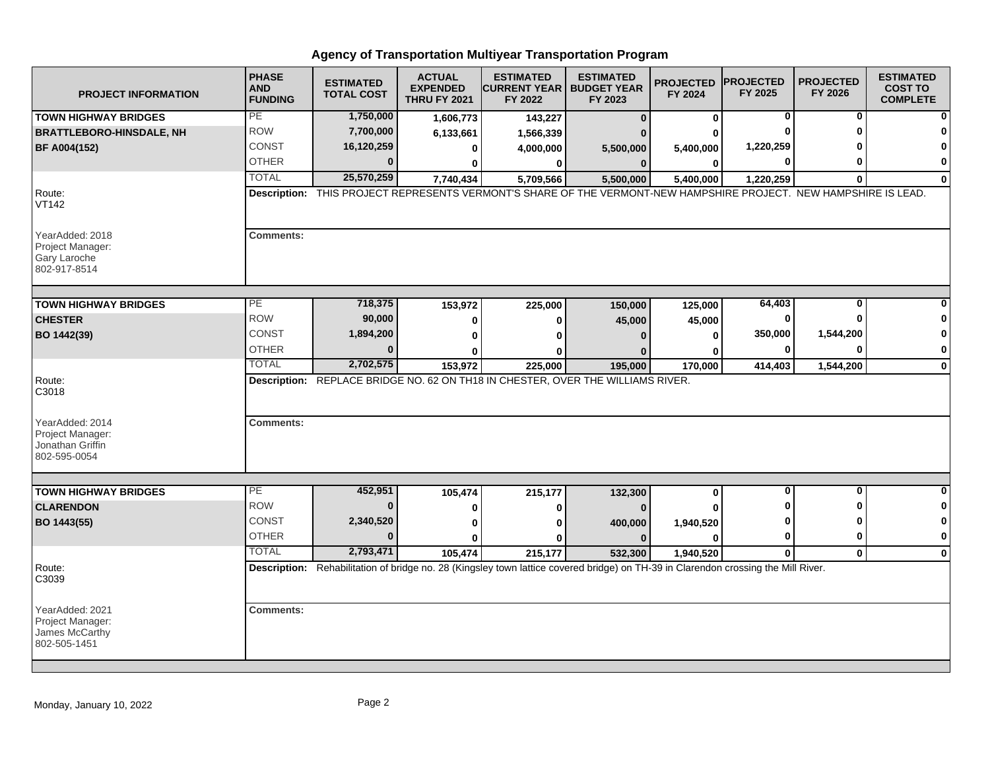| <b>PROJECT INFORMATION</b>                                              | <b>PHASE</b><br><b>AND</b><br><b>FUNDING</b> | <b>ESTIMATED</b><br><b>TOTAL COST</b> | <b>ACTUAL</b><br><b>EXPENDED</b><br><b>THRU FY 2021</b> | <b>ESTIMATED</b><br><b>ICURRENT YEAR I BUDGET YEAR</b><br>FY 2022                                                                  | <b>ESTIMATED</b><br>FY 2023 | <b>PROJECTED</b><br>FY 2024 | <b>PROJECTED</b><br>FY 2025 | <b>PROJECTED</b><br>FY 2026 | <b>ESTIMATED</b><br><b>COST TO</b><br><b>COMPLETE</b> |
|-------------------------------------------------------------------------|----------------------------------------------|---------------------------------------|---------------------------------------------------------|------------------------------------------------------------------------------------------------------------------------------------|-----------------------------|-----------------------------|-----------------------------|-----------------------------|-------------------------------------------------------|
| <b>TOWN HIGHWAY BRIDGES</b>                                             | PE                                           | 1,750,000                             | 1,606,773                                               | 143,227                                                                                                                            | $\bf{0}$                    | $\bf{0}$                    | 0                           | 0                           |                                                       |
| <b>BRATTLEBORO-HINSDALE, NH</b>                                         | <b>ROW</b>                                   | 7,700,000                             | 6,133,661                                               | 1,566,339                                                                                                                          |                             |                             |                             | ŋ                           |                                                       |
| <b>BF A004(152)</b>                                                     | CONST                                        | 16,120,259                            | 0                                                       | 4,000,000                                                                                                                          | 5,500,000                   | 5,400,000                   | 1,220,259                   |                             |                                                       |
|                                                                         | <b>OTHER</b>                                 | $\Omega$                              | 0                                                       | 0                                                                                                                                  | $\bf{0}$                    | 0                           |                             |                             | 0                                                     |
|                                                                         | <b>TOTAL</b>                                 | 25,570,259                            | 7,740,434                                               | 5,709,566                                                                                                                          | 5,500,000                   | 5,400,000                   | 1,220,259                   | $\Omega$                    | $\bf{0}$                                              |
| Route:<br><b>VT142</b>                                                  |                                              |                                       |                                                         | Description: THIS PROJECT REPRESENTS VERMONT'S SHARE OF THE VERMONT-NEW HAMPSHIRE PROJECT. NEW HAMPSHIRE IS LEAD.                  |                             |                             |                             |                             |                                                       |
| YearAdded: 2018<br>Project Manager:<br>Gary Laroche<br>802-917-8514     | <b>Comments:</b>                             |                                       |                                                         |                                                                                                                                    |                             |                             |                             |                             |                                                       |
| <b>TOWN HIGHWAY BRIDGES</b>                                             | PE                                           | 718,375                               | 153,972                                                 | 225,000                                                                                                                            | 150,000                     | 125,000                     | 64,403                      | 0                           |                                                       |
| <b>CHESTER</b>                                                          | <b>ROW</b>                                   | 90,000                                |                                                         |                                                                                                                                    |                             |                             | 0                           |                             |                                                       |
|                                                                         | <b>CONST</b>                                 | 1,894,200                             | 0                                                       | 0                                                                                                                                  | 45,000                      | 45,000                      | 350,000                     | 1,544,200                   | 0                                                     |
| BO 1442(39)                                                             | <b>OTHER</b>                                 | $\Omega$                              | $\bf{0}$                                                | $\Omega$                                                                                                                           | $\Omega$                    | $\bf{0}$                    | $\bf{0}$                    | $\Omega$                    | 0                                                     |
|                                                                         | <b>TOTAL</b>                                 | 2,702,575                             | U                                                       | Λ                                                                                                                                  |                             | 0                           |                             |                             |                                                       |
| Route:<br>C3018                                                         |                                              |                                       | 153,972                                                 | 225,000<br>Description: REPLACE BRIDGE NO. 62 ON TH18 IN CHESTER, OVER THE WILLIAMS RIVER.                                         | 195,000                     | 170,000                     | 414,403                     | 1,544,200                   | 0                                                     |
| YearAdded: 2014<br>Project Manager:<br>Jonathan Griffin<br>802-595-0054 | <b>Comments:</b>                             |                                       |                                                         |                                                                                                                                    |                             |                             |                             |                             |                                                       |
|                                                                         |                                              |                                       |                                                         |                                                                                                                                    |                             |                             |                             |                             |                                                       |
| <b>TOWN HIGHWAY BRIDGES</b>                                             | $\overline{PE}$                              | 452,951                               | 105,474                                                 | 215,177                                                                                                                            | 132,300                     | 0                           | $\bf{0}$                    | O                           | 0                                                     |
| <b>CLARENDON</b>                                                        | <b>ROW</b>                                   | $\bf{0}$                              | 0                                                       | 0                                                                                                                                  |                             |                             |                             | ŋ                           | 0                                                     |
| BO 1443(55)                                                             | <b>CONST</b>                                 | 2,340,520                             | 0                                                       | 0                                                                                                                                  | 400,000                     | 1,940,520                   |                             | ŋ                           | 0                                                     |
|                                                                         | <b>OTHER</b>                                 | $\Omega$                              | $\bf{0}$                                                | ŋ                                                                                                                                  | $\Omega$                    | $\Omega$                    | $\bf{0}$                    | $\mathbf{0}$                | 0                                                     |
|                                                                         | <b>TOTAL</b>                                 | 2,793,471                             | 105,474                                                 | 215,177                                                                                                                            | 532,300                     | 1,940,520                   | $\bf{0}$                    | $\mathbf{0}$                | 0                                                     |
| Route:<br>C3039                                                         |                                              |                                       |                                                         | Description: Rehabilitation of bridge no. 28 (Kingsley town lattice covered bridge) on TH-39 in Clarendon crossing the Mill River. |                             |                             |                             |                             |                                                       |
| YearAdded: 2021<br>Project Manager:<br>James McCarthy<br>802-505-1451   | <b>Comments:</b>                             |                                       |                                                         |                                                                                                                                    |                             |                             |                             |                             |                                                       |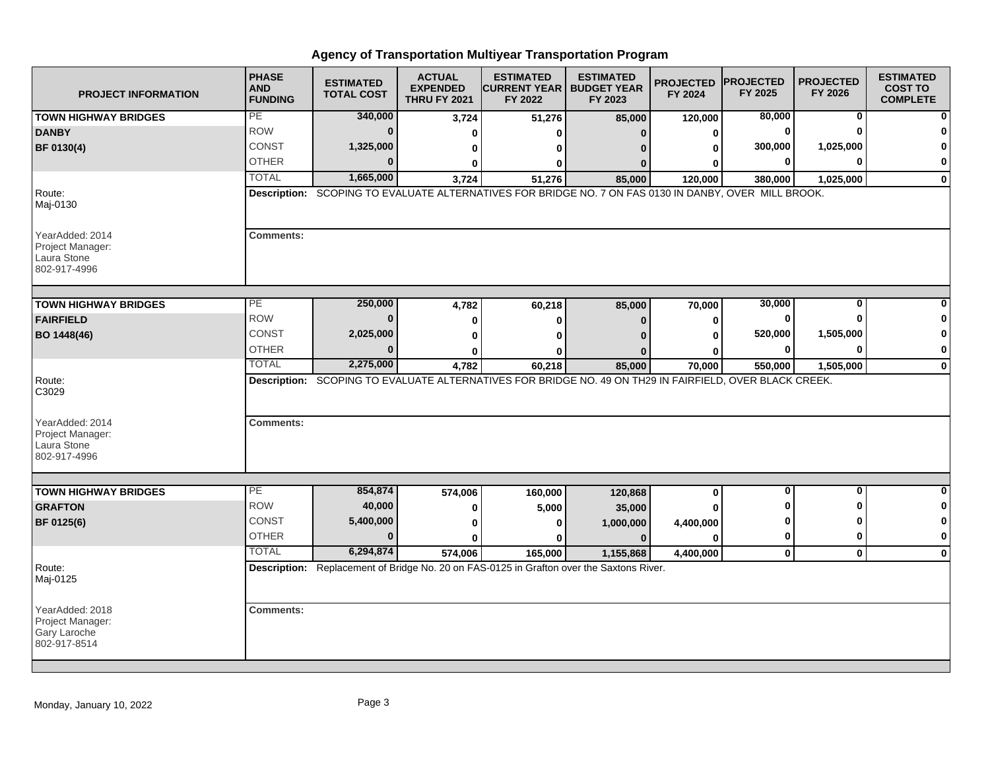| <b>PROJECT INFORMATION</b>                                          | <b>PHASE</b><br><b>AND</b><br><b>FUNDING</b> | <b>ESTIMATED</b><br><b>TOTAL COST</b> | <b>ACTUAL</b><br><b>EXPENDED</b><br><b>THRU FY 2021</b> | <b>ESTIMATED</b><br><b>ICURRENT YEAR I BUDGET YEAR</b><br>FY 2022                                       | <b>ESTIMATED</b><br>FY 2023 | <b>PROJECTED</b><br>FY 2024 | <b>PROJECTED</b><br>FY 2025 | <b>PROJECTED</b><br>FY 2026 | <b>ESTIMATED</b><br><b>COST TO</b><br><b>COMPLETE</b> |
|---------------------------------------------------------------------|----------------------------------------------|---------------------------------------|---------------------------------------------------------|---------------------------------------------------------------------------------------------------------|-----------------------------|-----------------------------|-----------------------------|-----------------------------|-------------------------------------------------------|
| <b>TOWN HIGHWAY BRIDGES</b>                                         | PE                                           | 340,000                               | 3,724                                                   | 51,276                                                                                                  | 85,000                      | 120,000                     | 80,000                      | 0                           |                                                       |
| <b>DANBY</b>                                                        | <b>ROW</b>                                   | $\bf{0}$                              | ŋ                                                       | O                                                                                                       | 0                           | 0                           |                             |                             |                                                       |
| BF 0130(4)                                                          | CONST                                        | 1,325,000                             | 0                                                       | O                                                                                                       |                             |                             | 300,000                     | 1,025,000                   |                                                       |
|                                                                     | <b>OTHER</b>                                 | 0                                     | O                                                       | O                                                                                                       |                             |                             |                             | ŋ                           | 0                                                     |
|                                                                     | <b>TOTAL</b>                                 | 1,665,000                             | 3,724                                                   | 51,276                                                                                                  | 85,000                      | 120,000                     | 380,000                     | 1,025,000                   | $\bf{0}$                                              |
| Route:<br>Maj-0130                                                  |                                              |                                       |                                                         | Description: SCOPING TO EVALUATE ALTERNATIVES FOR BRIDGE NO. 7 ON FAS 0130 IN DANBY, OVER MILL BROOK.   |                             |                             |                             |                             |                                                       |
| YearAdded: 2014<br>Project Manager:<br>Laura Stone<br>802-917-4996  | <b>Comments:</b>                             |                                       |                                                         |                                                                                                         |                             |                             |                             |                             |                                                       |
| <b>TOWN HIGHWAY BRIDGES</b>                                         | $\overline{PE}$                              | 250,000                               | 4,782                                                   | 60,218                                                                                                  | 85,000                      | 70,000                      | 30,000                      | $\mathbf 0$                 |                                                       |
| <b>FAIRFIELD</b>                                                    | <b>ROW</b>                                   | $\bf{0}$                              | 0                                                       | 0                                                                                                       | $\bf{0}$                    | 0                           |                             | n                           |                                                       |
| BO 1448(46)                                                         | CONST                                        | 2,025,000                             |                                                         | n                                                                                                       |                             |                             | 520,000                     | 1,505,000                   | ŋ                                                     |
|                                                                     | <b>OTHER</b>                                 | $\bf{0}$                              |                                                         | O                                                                                                       |                             |                             | ŋ                           | O                           | 0                                                     |
|                                                                     | <b>TOTAL</b>                                 | 2,275,000                             | 4,782                                                   | 60,218                                                                                                  | 85,000                      | 70,000                      | 550,000                     | 1,505,000                   | $\mathbf 0$                                           |
| Route:<br>C3029                                                     |                                              |                                       |                                                         | Description: SCOPING TO EVALUATE ALTERNATIVES FOR BRIDGE NO. 49 ON TH29 IN FAIRFIELD, OVER BLACK CREEK. |                             |                             |                             |                             |                                                       |
| YearAdded: 2014<br>Project Manager:<br>Laura Stone<br>802-917-4996  | <b>Comments:</b>                             |                                       |                                                         |                                                                                                         |                             |                             |                             |                             |                                                       |
| <b>TOWN HIGHWAY BRIDGES</b>                                         | PE                                           | 854,874                               |                                                         |                                                                                                         |                             | $\bf{0}$                    | $\bf{0}$                    | $\mathbf{0}$                | O                                                     |
| <b>GRAFTON</b>                                                      | <b>ROW</b>                                   | 40,000                                | 574,006<br>0                                            | 160,000<br>5,000                                                                                        | 120,868                     |                             |                             | O                           | 0                                                     |
| BF 0125(6)                                                          | CONST                                        | 5,400,000                             |                                                         | n                                                                                                       | 35,000<br>1,000,000         | 4,400,000                   |                             | n                           |                                                       |
|                                                                     | <b>OTHER</b>                                 | $\bf{0}$                              | $\bf{0}$                                                | ŋ                                                                                                       | $\mathbf{0}$                | ŋ                           | 0                           | 0                           | 0                                                     |
|                                                                     | <b>TOTAL</b>                                 | 6,294,874                             | 574,006                                                 | 165,000                                                                                                 | 1,155,868                   | 4,400,000                   | $\mathbf{0}$                | $\mathbf{0}$                | $\Omega$                                              |
| Route:<br>Maj-0125                                                  |                                              |                                       |                                                         | Description: Replacement of Bridge No. 20 on FAS-0125 in Grafton over the Saxtons River.                |                             |                             |                             |                             |                                                       |
| YearAdded: 2018<br>Project Manager:<br>Gary Laroche<br>802-917-8514 | <b>Comments:</b>                             |                                       |                                                         |                                                                                                         |                             |                             |                             |                             |                                                       |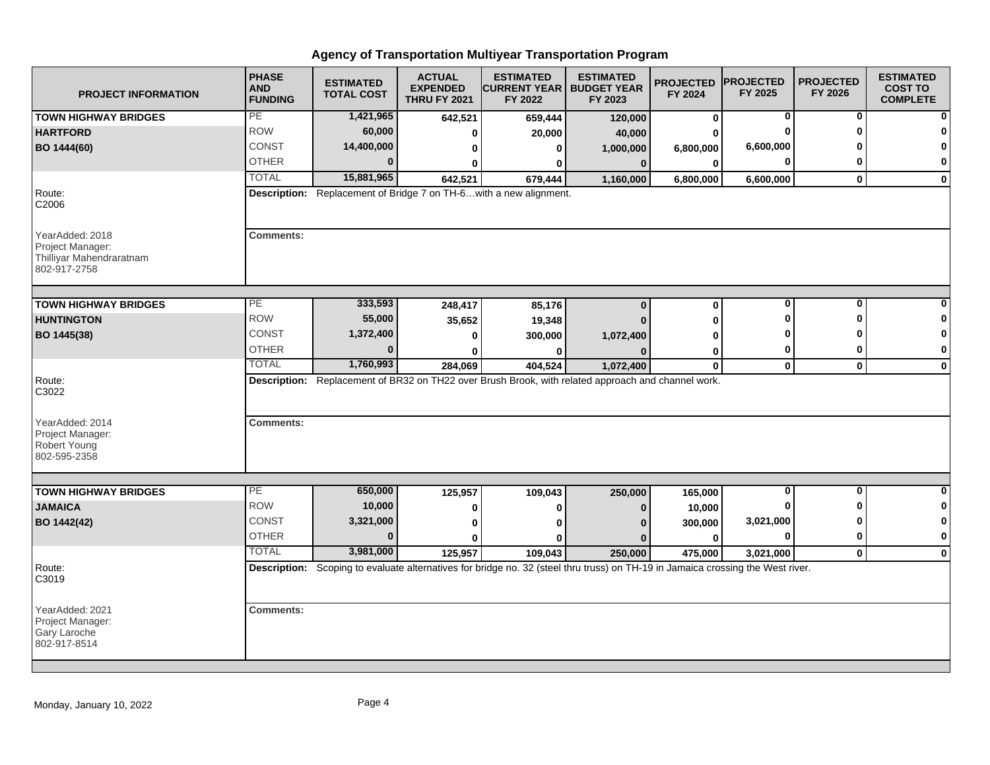| <b>PROJECT INFORMATION</b>                                                      | <b>PHASE</b><br><b>AND</b><br><b>FUNDING</b> | <b>ESTIMATED</b><br><b>TOTAL COST</b> | <b>ACTUAL</b><br><b>EXPENDED</b><br><b>THRU FY 2021</b> | <b>ESTIMATED</b><br><b>CURRENT YEAR</b><br>FY 2022                 | <b>ESTIMATED</b><br><b>BUDGET YEAR</b><br>FY 2023                                                                               | <b>PROJECTED</b><br>FY 2024 | <b>PROJECTED</b><br>FY 2025 | <b>PROJECTED</b><br>FY 2026 | <b>ESTIMATED</b><br><b>COST TO</b><br><b>COMPLETE</b> |
|---------------------------------------------------------------------------------|----------------------------------------------|---------------------------------------|---------------------------------------------------------|--------------------------------------------------------------------|---------------------------------------------------------------------------------------------------------------------------------|-----------------------------|-----------------------------|-----------------------------|-------------------------------------------------------|
| <b>TOWN HIGHWAY BRIDGES</b>                                                     | PE                                           | 1,421,965                             | 642,521                                                 | 659,444                                                            | 120,000                                                                                                                         | $\mathbf 0$                 | 0                           | 0                           |                                                       |
| <b>HARTFORD</b>                                                                 | <b>ROW</b>                                   | 60,000                                | 0                                                       | 20,000                                                             | 40,000                                                                                                                          |                             |                             | U                           |                                                       |
| BO 1444(60)                                                                     | CONST                                        | 14,400,000                            | 0                                                       | ŋ                                                                  | 1,000,000                                                                                                                       | 6,800,000                   | 6,600,000                   |                             |                                                       |
|                                                                                 | <b>OTHER</b>                                 |                                       | ŋ                                                       |                                                                    | $\bf{0}$                                                                                                                        | 0                           |                             | 0                           | O                                                     |
|                                                                                 | <b>TOTAL</b>                                 | 15,881,965                            | 642,521                                                 | 679,444                                                            | 1,160,000                                                                                                                       | 6,800,000                   | 6,600,000                   | $\mathbf{0}$                | $\bf{0}$                                              |
| Route:<br>C2006                                                                 |                                              |                                       |                                                         | Description: Replacement of Bridge 7 on TH-6 with a new alignment. |                                                                                                                                 |                             |                             |                             |                                                       |
| YearAdded: 2018<br>Project Manager:<br>Thilliyar Mahendraratnam<br>802-917-2758 | <b>Comments:</b>                             |                                       |                                                         |                                                                    |                                                                                                                                 |                             |                             |                             |                                                       |
| <b>TOWN HIGHWAY BRIDGES</b>                                                     | PE                                           | 333,593                               | 248,417                                                 | 85,176                                                             | $\Omega$                                                                                                                        | $\bf{0}$                    | 0                           | 0                           |                                                       |
| <b>HUNTINGTON</b>                                                               | <b>ROW</b>                                   | 55,000                                |                                                         |                                                                    |                                                                                                                                 | O                           |                             | ŋ                           |                                                       |
| BO 1445(38)                                                                     | CONST                                        | 1,372,400                             | 35,652<br>$\bf{0}$                                      | 19,348<br>300,000                                                  |                                                                                                                                 |                             |                             |                             |                                                       |
|                                                                                 | <b>OTHER</b>                                 | $\bf{0}$                              | 0                                                       |                                                                    | 1,072,400                                                                                                                       |                             | 0                           | 0                           | $\mathbf 0$                                           |
|                                                                                 | <b>TOTAL</b>                                 | 1,760,993                             | 284,069                                                 | 404,524                                                            | 1,072,400                                                                                                                       | 0<br>$\mathbf 0$            | $\mathbf 0$                 | $\mathbf{0}$                | 0                                                     |
| Route:<br>C3022                                                                 |                                              |                                       |                                                         |                                                                    | Description: Replacement of BR32 on TH22 over Brush Brook, with related approach and channel work.                              |                             |                             |                             |                                                       |
| YearAdded: 2014<br>Project Manager:<br>Robert Young<br>802-595-2358             | <b>Comments:</b>                             |                                       |                                                         |                                                                    |                                                                                                                                 |                             |                             |                             |                                                       |
| <b>TOWN HIGHWAY BRIDGES</b>                                                     | $\overline{PE}$                              | 650,000                               |                                                         |                                                                    |                                                                                                                                 |                             | 0                           | 0                           | <sup>0</sup>                                          |
| <b>JAMAICA</b>                                                                  | <b>ROW</b>                                   | 10,000                                | 125,957<br>0                                            | 109,043                                                            | 250,000                                                                                                                         | 165,000                     |                             | ŋ                           | 0                                                     |
| BO 1442(42)                                                                     | <b>CONST</b>                                 | 3,321,000                             | 0                                                       |                                                                    |                                                                                                                                 | 10,000                      | 3,021,000                   | ŋ                           | 0                                                     |
|                                                                                 | <b>OTHER</b>                                 | $\Omega$                              | O                                                       |                                                                    |                                                                                                                                 | 300,000<br>$\bf{0}$         | $\bf{0}$                    | 0                           | $\bf{0}$                                              |
|                                                                                 | <b>TOTAL</b>                                 | 3,981,000                             | 125,957                                                 | 109,043                                                            | 250,000                                                                                                                         | 475,000                     | 3,021,000                   | $\mathbf{0}$                | $\mathbf 0$                                           |
| Route:<br>C3019                                                                 |                                              |                                       |                                                         |                                                                    | Description: Scoping to evaluate alternatives for bridge no. 32 (steel thru truss) on TH-19 in Jamaica crossing the West river. |                             |                             |                             |                                                       |
| YearAdded: 2021<br>Project Manager:<br>Gary Laroche<br>802-917-8514             | <b>Comments:</b>                             |                                       |                                                         |                                                                    |                                                                                                                                 |                             |                             |                             |                                                       |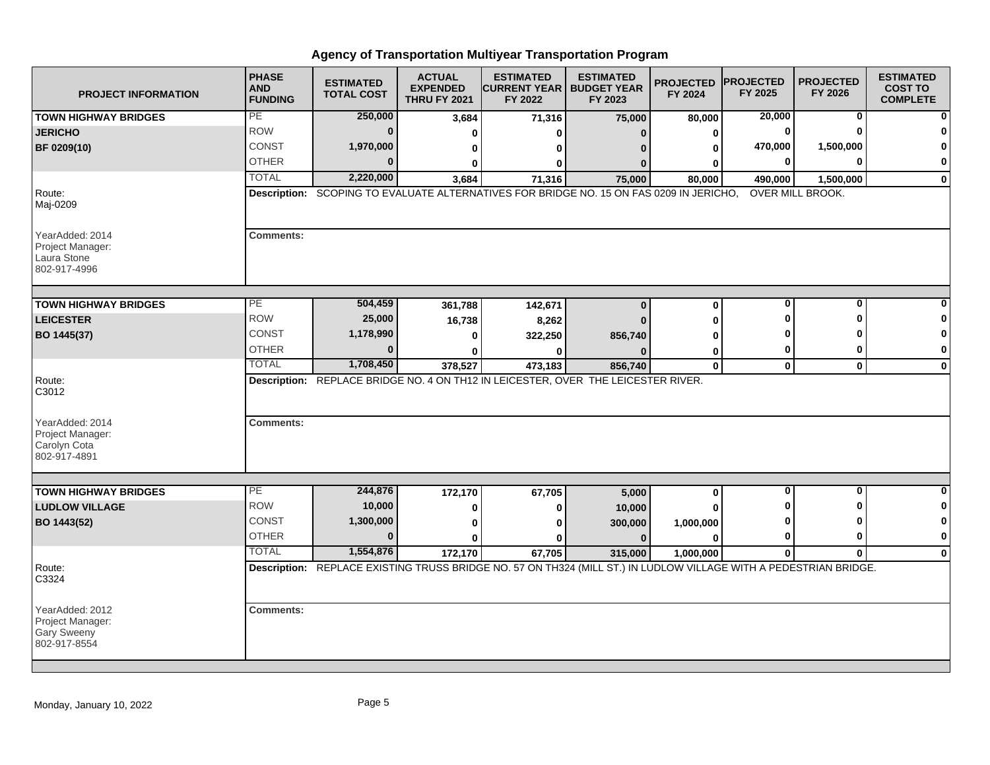| <b>PROJECT INFORMATION</b>                                                | <b>PHASE</b><br><b>AND</b><br><b>FUNDING</b> | <b>ESTIMATED</b><br><b>TOTAL COST</b> | <b>ACTUAL</b><br><b>EXPENDED</b><br><b>THRU FY 2021</b> | <b>ESTIMATED</b><br><b>CURRENT YEAR I BUDGET YEAR</b><br>FY 2022                                                            | <b>ESTIMATED</b><br>FY 2023 | <b>PROJECTED</b><br>FY 2024 | <b>PROJECTED</b><br>FY 2025 | <b>PROJECTED</b><br>FY 2026 | <b>ESTIMATED</b><br><b>COST TO</b><br><b>COMPLETE</b> |
|---------------------------------------------------------------------------|----------------------------------------------|---------------------------------------|---------------------------------------------------------|-----------------------------------------------------------------------------------------------------------------------------|-----------------------------|-----------------------------|-----------------------------|-----------------------------|-------------------------------------------------------|
| <b>TOWN HIGHWAY BRIDGES</b>                                               | PE                                           | 250,000                               | 3,684                                                   | 71,316                                                                                                                      | 75,000                      | 80,000                      | 20,000                      | 0                           |                                                       |
| <b>JERICHO</b>                                                            | <b>ROW</b>                                   | $\bf{0}$                              | ŋ                                                       | ŋ                                                                                                                           | $\bf{0}$                    | U                           | $\Omega$                    |                             |                                                       |
| BF 0209(10)                                                               | CONST                                        | 1,970,000                             | 0                                                       | ŋ                                                                                                                           |                             | 0                           | 470,000                     | 1,500,000                   |                                                       |
|                                                                           | <b>OTHER</b>                                 | $\Omega$                              | 0                                                       | 0                                                                                                                           | n                           | o                           |                             | ŋ                           | 0                                                     |
|                                                                           | <b>TOTAL</b>                                 | 2,220,000                             | 3,684                                                   | 71,316                                                                                                                      | 75,000                      | 80,000                      | 490,000                     | 1,500,000                   | $\mathbf{0}$                                          |
| Route:<br>Maj-0209                                                        |                                              |                                       |                                                         | Description: SCOPING TO EVALUATE ALTERNATIVES FOR BRIDGE NO. 15 ON FAS 0209 IN JERICHO,                                     |                             |                             |                             | OVER MILL BROOK.            |                                                       |
| YearAdded: 2014<br>Project Manager:<br>Laura Stone<br>802-917-4996        | <b>Comments:</b>                             |                                       |                                                         |                                                                                                                             |                             |                             |                             |                             |                                                       |
| <b>TOWN HIGHWAY BRIDGES</b>                                               | $\overline{PE}$                              | 504,459                               | 361,788                                                 | 142,671                                                                                                                     | $\bf{0}$                    | $\bf{0}$                    | $\bf{0}$                    | 0                           |                                                       |
| <b>LEICESTER</b>                                                          | <b>ROW</b>                                   | 25,000                                | 16,738                                                  |                                                                                                                             | $\Omega$                    |                             |                             | n                           | ŋ                                                     |
| BO 1445(37)                                                               | <b>CONST</b>                                 | 1,178,990                             | $\bf{0}$                                                | 8,262<br>322,250                                                                                                            | 856,740                     |                             |                             |                             | O                                                     |
|                                                                           | <b>OTHER</b>                                 | $\Omega$                              |                                                         |                                                                                                                             |                             |                             |                             | 0                           | $\mathbf 0$                                           |
|                                                                           | <b>TOTAL</b>                                 | 1,708,450                             | 0<br>378,527                                            | 0<br>473,183                                                                                                                | 856,740                     | 0<br>$\bf{0}$               | $\mathbf 0$                 | $\mathbf 0$                 | $\bf{0}$                                              |
| Route:<br>C3012                                                           |                                              |                                       |                                                         | Description: REPLACE BRIDGE NO. 4 ON TH12 IN LEICESTER, OVER THE LEICESTER RIVER.                                           |                             |                             |                             |                             |                                                       |
| YearAdded: 2014<br>Project Manager:<br>Carolyn Cota<br>802-917-4891       | <b>Comments:</b>                             |                                       |                                                         |                                                                                                                             |                             |                             |                             |                             |                                                       |
|                                                                           | $\overline{PE}$                              | 244,876                               |                                                         |                                                                                                                             |                             |                             | <sup>0</sup>                | 0                           | ŋ                                                     |
| <b>TOWN HIGHWAY BRIDGES</b><br><b>LUDLOW VILLAGE</b>                      | <b>ROW</b>                                   | 10,000                                | 172,170                                                 | 67,705                                                                                                                      | 5,000                       | 0                           |                             | n                           | 0                                                     |
|                                                                           | <b>CONST</b>                                 | 1,300,000                             | 0                                                       | 0                                                                                                                           | 10,000                      |                             |                             | n                           | 0                                                     |
| BO 1443(52)                                                               | <b>OTHER</b>                                 | $\bf{0}$                              | $\bf{0}$                                                | O                                                                                                                           | 300,000<br>$\Omega$         | 1,000,000<br>U              |                             | $\mathbf 0$                 | $\mathbf 0$                                           |
|                                                                           | <b>TOTAL</b>                                 | 1,554,876                             | $\mathbf{0}$                                            | ŋ                                                                                                                           |                             |                             |                             |                             |                                                       |
| Route:                                                                    |                                              |                                       | 172,170                                                 | 67,705<br>Description: REPLACE EXISTING TRUSS BRIDGE NO. 57 ON TH324 (MILL ST.) IN LUDLOW VILLAGE WITH A PEDESTRIAN BRIDGE. | 315,000                     | 1,000,000                   | $\mathbf 0$                 | $\mathbf 0$                 | $\mathbf{0}$                                          |
| C3324                                                                     |                                              |                                       |                                                         |                                                                                                                             |                             |                             |                             |                             |                                                       |
| YearAdded: 2012<br>Project Manager:<br><b>Gary Sweeny</b><br>802-917-8554 | <b>Comments:</b>                             |                                       |                                                         |                                                                                                                             |                             |                             |                             |                             |                                                       |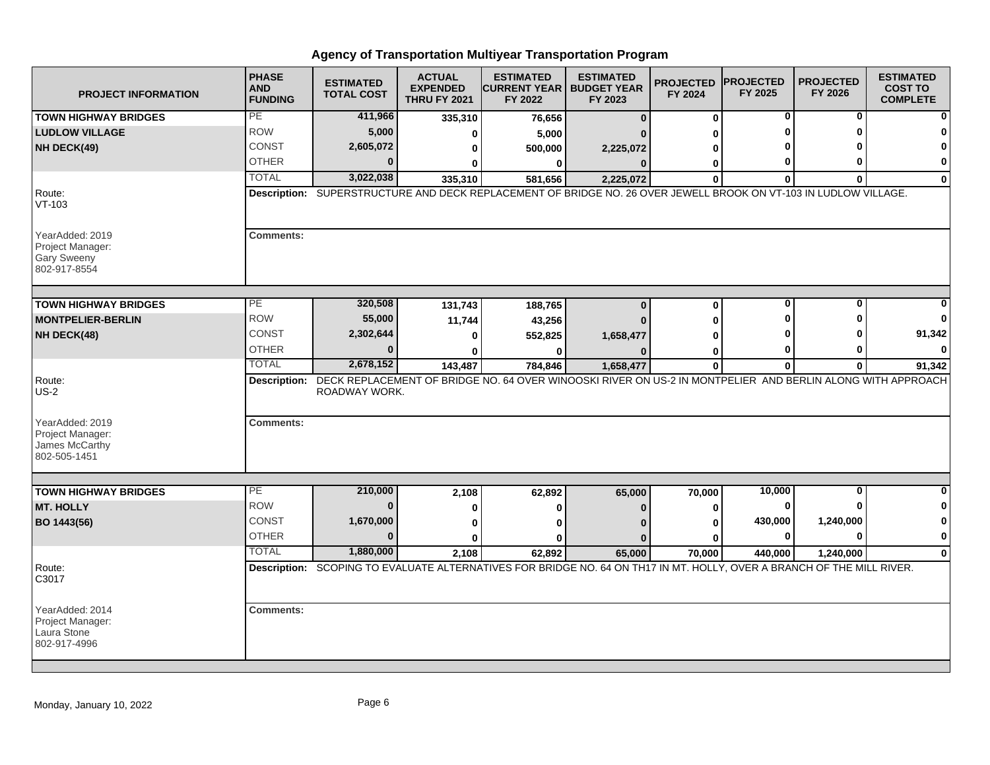| <b>PROJECT INFORMATION</b>                                            | <b>PHASE</b><br><b>AND</b><br><b>FUNDING</b> | <b>ESTIMATED</b><br><b>TOTAL COST</b> | <b>ACTUAL</b><br><b>EXPENDED</b><br><b>THRU FY 2021</b> | <b>ESTIMATED</b><br><b>ICURRENT YEAR   BUDGET YEAR</b><br>FY 2022                                                                | <b>ESTIMATED</b><br>FY 2023 | <b>PROJECTED</b><br>FY 2024 | <b>PROJECTED</b><br>FY 2025 | <b>PROJECTED</b><br>FY 2026 | <b>ESTIMATED</b><br><b>COST TO</b><br><b>COMPLETE</b> |
|-----------------------------------------------------------------------|----------------------------------------------|---------------------------------------|---------------------------------------------------------|----------------------------------------------------------------------------------------------------------------------------------|-----------------------------|-----------------------------|-----------------------------|-----------------------------|-------------------------------------------------------|
| <b>TOWN HIGHWAY BRIDGES</b>                                           | PE                                           | 411,966                               | 335,310                                                 | 76,656                                                                                                                           | $\bf{0}$                    | 0                           | 0                           | 0                           |                                                       |
| <b>LUDLOW VILLAGE</b>                                                 | <b>ROW</b>                                   | 5,000                                 | $\bf{0}$                                                | 5,000                                                                                                                            |                             | U                           |                             | ŋ                           | 0                                                     |
| NH DECK(49)                                                           | CONST                                        | 2,605,072                             | 0                                                       | 500,000                                                                                                                          | 2,225,072                   | ŋ                           |                             |                             | $\bf{0}$                                              |
|                                                                       | <b>OTHER</b>                                 | $\Omega$                              | 0                                                       | 0                                                                                                                                | $\mathbf{0}$                | 0                           | 0                           | O                           | 0                                                     |
|                                                                       | <b>TOTAL</b>                                 | 3,022,038                             | 335,310                                                 | 581,656                                                                                                                          | 2,225,072                   | $\bf{0}$                    | $\Omega$                    | $\Omega$                    | 0                                                     |
| Route:<br>VT-103                                                      |                                              |                                       |                                                         | Description: SUPERSTRUCTURE AND DECK REPLACEMENT OF BRIDGE NO. 26 OVER JEWELL BROOK ON VT-103 IN LUDLOW VILLAGE.                 |                             |                             |                             |                             |                                                       |
| YearAdded: 2019<br>Project Manager:<br>Gary Sweeny<br>802-917-8554    | <b>Comments:</b>                             |                                       |                                                         |                                                                                                                                  |                             |                             |                             |                             |                                                       |
| <b>TOWN HIGHWAY BRIDGES</b>                                           | PE                                           | 320,508                               | 131,743                                                 | 188,765                                                                                                                          | $\bf{0}$                    | 0                           | $\bf{0}$                    | O                           |                                                       |
| <b>MONTPELIER-BERLIN</b>                                              | <b>ROW</b>                                   | 55,000                                | 11,744                                                  | 43,256                                                                                                                           |                             | ŋ                           |                             | n                           |                                                       |
| NH DECK(48)                                                           | <b>CONST</b>                                 | 2,302,644                             | $\bf{0}$                                                | 552,825                                                                                                                          | 1,658,477                   | ŋ                           |                             |                             | 91,342                                                |
|                                                                       | <b>OTHER</b>                                 | $\Omega$                              | ŋ                                                       | 0                                                                                                                                |                             | 0                           | 0                           |                             | $\Omega$                                              |
|                                                                       | <b>TOTAL</b>                                 | 2,678,152                             | 143,487                                                 | 784,846                                                                                                                          | 1,658,477                   | $\mathbf 0$                 | $\bf{0}$                    | $\bf{0}$                    | 91,342                                                |
| Route:<br><b>US-2</b>                                                 |                                              | ROADWAY WORK.                         |                                                         | Description: DECK REPLACEMENT OF BRIDGE NO. 64 OVER WINOOSKI RIVER ON US-2 IN MONTPELIER AND BERLIN ALONG WITH APPROACH          |                             |                             |                             |                             |                                                       |
| YearAdded: 2019<br>Project Manager:<br>James McCarthy<br>802-505-1451 | <b>Comments:</b>                             |                                       |                                                         |                                                                                                                                  |                             |                             |                             |                             |                                                       |
|                                                                       | PE                                           | 210,000                               |                                                         |                                                                                                                                  |                             |                             |                             | $\mathbf 0$                 | 0                                                     |
| <b>TOWN HIGHWAY BRIDGES</b><br><b>MT. HOLLY</b>                       | <b>ROW</b>                                   | $\bf{0}$                              | 2,108                                                   | 62,892                                                                                                                           | 65,000                      | 70,000                      | 10,000<br>0                 | O                           | 0                                                     |
|                                                                       | <b>CONST</b>                                 | 1,670,000                             | 0                                                       | $\bf{0}$                                                                                                                         | $\Omega$                    | $\bf{0}$                    | 430,000                     | 1,240,000                   | 0                                                     |
| BO 1443(56)                                                           | <b>OTHER</b>                                 | $\Omega$                              | $\bf{0}$                                                | $\bf{0}$                                                                                                                         |                             | ŋ                           | $\bf{0}$                    | $\Omega$                    | 0                                                     |
|                                                                       | <b>TOTAL</b>                                 | 1,880,000                             | 0                                                       | <sup>0</sup>                                                                                                                     | n                           | Λ                           |                             |                             |                                                       |
|                                                                       |                                              |                                       | 2,108                                                   | 62,892<br>Description: SCOPING TO EVALUATE ALTERNATIVES FOR BRIDGE NO. 64 ON TH17 IN MT. HOLLY, OVER A BRANCH OF THE MILL RIVER. | 65,000                      | 70,000                      | 440,000                     | 1,240,000                   | $\bf{0}$                                              |
| Route:<br>C3017                                                       |                                              |                                       |                                                         |                                                                                                                                  |                             |                             |                             |                             |                                                       |
| YearAdded: 2014<br>Project Manager:<br>Laura Stone<br>802-917-4996    | <b>Comments:</b>                             |                                       |                                                         |                                                                                                                                  |                             |                             |                             |                             |                                                       |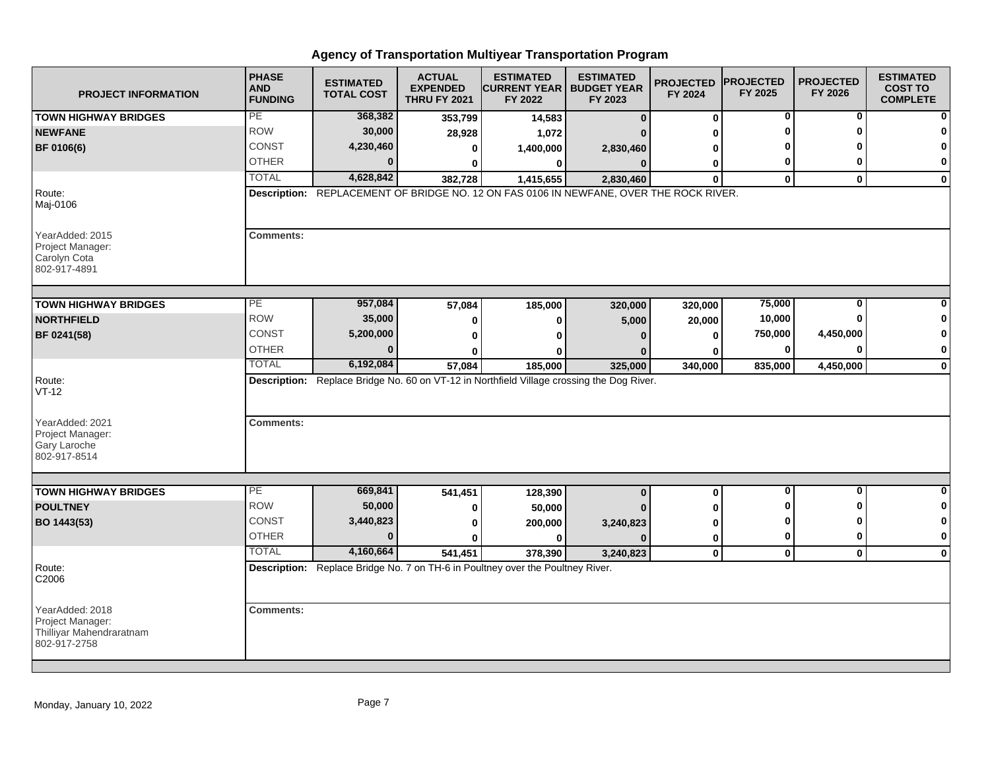| <b>PROJECT INFORMATION</b>                                                      | <b>PHASE</b><br><b>AND</b><br><b>FUNDING</b> | <b>ESTIMATED</b><br><b>TOTAL COST</b> | <b>ACTUAL</b><br><b>EXPENDED</b><br><b>THRU FY 2021</b> | <b>ESTIMATED</b><br><b>ICURRENT YEAR I BUDGET YEAR</b><br>FY 2022                         | <b>ESTIMATED</b><br>FY 2023 | <b>PROJECTED</b><br>FY 2024 | <b>PROJECTED</b><br>FY 2025 | <b>PROJECTED</b><br>FY 2026 | <b>ESTIMATED</b><br><b>COST TO</b><br><b>COMPLETE</b> |
|---------------------------------------------------------------------------------|----------------------------------------------|---------------------------------------|---------------------------------------------------------|-------------------------------------------------------------------------------------------|-----------------------------|-----------------------------|-----------------------------|-----------------------------|-------------------------------------------------------|
| <b>TOWN HIGHWAY BRIDGES</b>                                                     | PE                                           | 368,382                               | 353,799                                                 | 14,583                                                                                    | $\bf{0}$                    | 0                           | 0                           | 0                           |                                                       |
| <b>NEWFANE</b>                                                                  | <b>ROW</b>                                   | 30,000                                | 28,928                                                  | 1,072                                                                                     |                             | ŋ                           | O                           | O                           |                                                       |
| BF 0106(6)                                                                      | <b>CONST</b>                                 | 4,230,460                             | 0                                                       | 1,400,000                                                                                 | 2,830,460                   | 0                           |                             |                             | 0                                                     |
|                                                                                 | <b>OTHER</b>                                 | $\Omega$                              | 0                                                       | 0                                                                                         | $\Omega$                    | 0                           | 0                           | 0                           | 0                                                     |
|                                                                                 | <b>TOTAL</b>                                 | 4,628,842                             | 382,728                                                 | 1,415,655                                                                                 | 2,830,460                   | $\mathbf{0}$                | $\mathbf{0}$                | $\mathbf{0}$                | $\bf{0}$                                              |
| Route:<br>Maj-0106                                                              |                                              |                                       |                                                         | Description: REPLACEMENT OF BRIDGE NO. 12 ON FAS 0106 IN NEWFANE, OVER THE ROCK RIVER.    |                             |                             |                             |                             |                                                       |
| YearAdded: 2015<br>Project Manager:<br>Carolyn Cota<br>802-917-4891             | <b>Comments:</b>                             |                                       |                                                         |                                                                                           |                             |                             |                             |                             |                                                       |
| <b>TOWN HIGHWAY BRIDGES</b>                                                     | PЕ                                           | 957,084                               | 57,084                                                  | 185,000                                                                                   | 320,000                     | 320,000                     | 75,000                      | 0                           |                                                       |
| <b>NORTHFIELD</b>                                                               | <b>ROW</b>                                   | 35,000                                | 0                                                       | 0                                                                                         | 5,000                       | 20,000                      | 10,000                      | 0                           |                                                       |
| BF 0241(58)                                                                     | <b>CONST</b>                                 | 5,200,000                             | $\bf{0}$                                                | ŋ                                                                                         |                             | 0                           | 750,000                     | 4,450,000                   | 0                                                     |
|                                                                                 | <b>OTHER</b>                                 | $\Omega$                              | ŋ                                                       | ŋ                                                                                         |                             | ŋ                           | 0                           | $\bf{0}$                    | 0                                                     |
|                                                                                 | <b>TOTAL</b>                                 | 6,192,084                             | 57,084                                                  | 185,000                                                                                   | 325,000                     | 340,000                     | 835,000                     | 4,450,000                   | $\mathbf 0$                                           |
| Route:<br>$VT-12$<br>YearAdded: 2021                                            | <b>Comments:</b>                             |                                       |                                                         | Description: Replace Bridge No. 60 on VT-12 in Northfield Village crossing the Dog River. |                             |                             |                             |                             |                                                       |
| Project Manager:<br>Gary Laroche<br>802-917-8514                                |                                              |                                       |                                                         |                                                                                           |                             |                             |                             |                             |                                                       |
| <b>TOWN HIGHWAY BRIDGES</b>                                                     | РE                                           | 669,841                               | 541,451                                                 | 128,390                                                                                   | $\bf{0}$                    | 0                           | $\mathbf 0$                 | 0                           | 0                                                     |
| <b>POULTNEY</b>                                                                 | <b>ROW</b>                                   | 50,000                                | $\bf{0}$                                                | 50,000                                                                                    |                             | O                           |                             | ŋ                           | 0                                                     |
| BO 1443(53)                                                                     | <b>CONST</b>                                 | 3,440,823                             | ŋ                                                       | 200,000                                                                                   | 3,240,823                   | U                           | O                           | ŋ                           | $\mathbf 0$                                           |
|                                                                                 | <b>OTHER</b>                                 | $\bf{0}$                              | 0                                                       | 0                                                                                         |                             | 0                           | 0                           | $\bf{0}$                    | 0                                                     |
|                                                                                 | <b>TOTAL</b>                                 | 4,160,664                             | 541,451                                                 | 378,390                                                                                   | 3,240,823                   | 0                           | $\mathbf 0$                 | $\mathbf 0$                 | $\mathbf 0$                                           |
| Route:<br>C2006                                                                 |                                              |                                       |                                                         | Description: Replace Bridge No. 7 on TH-6 in Poultney over the Poultney River.            |                             |                             |                             |                             |                                                       |
| YearAdded: 2018<br>Project Manager:<br>Thilliyar Mahendraratnam<br>802-917-2758 | <b>Comments:</b>                             |                                       |                                                         |                                                                                           |                             |                             |                             |                             |                                                       |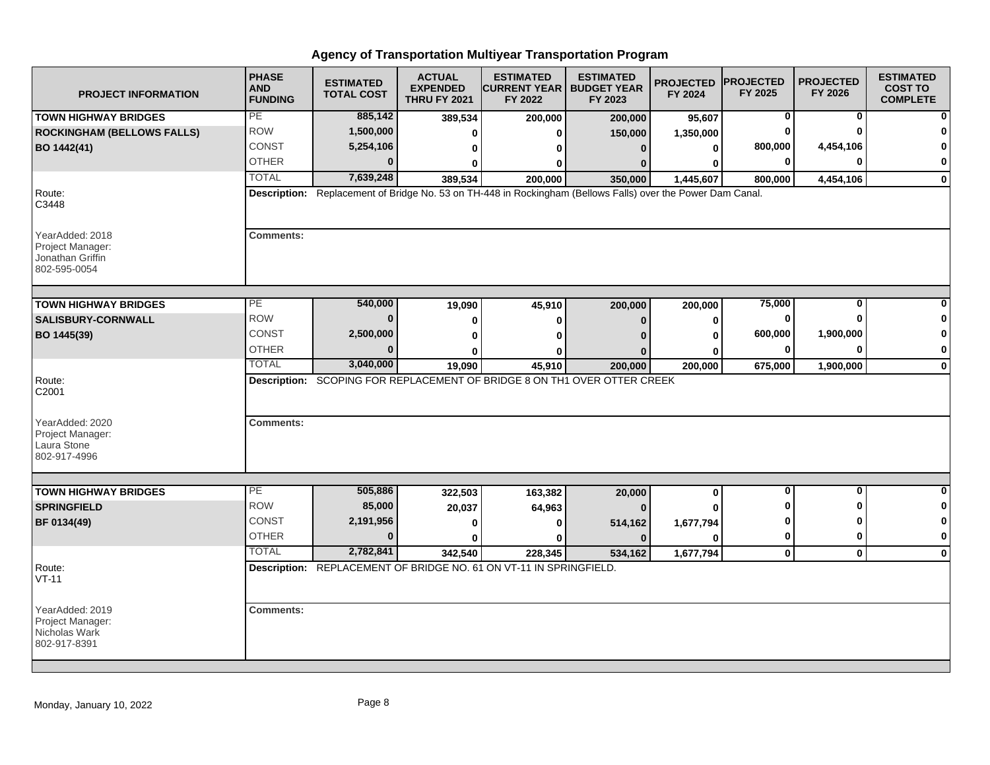| <b>PROJECT INFORMATION</b>                                              | <b>PHASE</b><br><b>AND</b><br><b>FUNDING</b> | <b>ESTIMATED</b><br><b>TOTAL COST</b> | <b>ACTUAL</b><br><b>EXPENDED</b><br><b>THRU FY 2021</b> | <b>ESTIMATED</b><br><b>ICURRENT YEAR   BUDGET YEAR</b><br>FY 2022                                           | <b>ESTIMATED</b><br>FY 2023 | <b>PROJECTED</b><br>FY 2024 | <b>PROJECTED</b><br>FY 2025 | <b>PROJECTED</b><br>FY 2026 | <b>ESTIMATED</b><br><b>COST TO</b><br><b>COMPLETE</b> |
|-------------------------------------------------------------------------|----------------------------------------------|---------------------------------------|---------------------------------------------------------|-------------------------------------------------------------------------------------------------------------|-----------------------------|-----------------------------|-----------------------------|-----------------------------|-------------------------------------------------------|
| <b>TOWN HIGHWAY BRIDGES</b>                                             | PE                                           | 885,142                               | 389,534                                                 | 200,000                                                                                                     | 200,000                     | 95,607                      | 0                           | 0                           | ŋ                                                     |
| <b>ROCKINGHAM (BELLOWS FALLS)</b>                                       | <b>ROW</b>                                   | 1,500,000                             | 0                                                       | 0                                                                                                           | 150,000                     | 1,350,000                   |                             |                             |                                                       |
| BO 1442(41)                                                             | <b>CONST</b>                                 | 5,254,106                             | 0                                                       | 0                                                                                                           | $\bf{0}$                    | 0                           | 800,000                     | 4,454,106                   | 0                                                     |
|                                                                         | <b>OTHER</b>                                 | $\bf{0}$                              | 0                                                       | 0                                                                                                           |                             | Λ                           |                             | n                           | 0                                                     |
|                                                                         | <b>TOTAL</b>                                 | 7,639,248                             | 389,534                                                 | 200.000                                                                                                     | 350,000                     | 1,445,607                   | 800,000                     | 4,454,106                   | 0                                                     |
| Route:<br>C3448                                                         |                                              |                                       |                                                         | Description: Replacement of Bridge No. 53 on TH-448 in Rockingham (Bellows Falls) over the Power Dam Canal. |                             |                             |                             |                             |                                                       |
| YearAdded: 2018<br>Project Manager:<br>Jonathan Griffin<br>802-595-0054 | <b>Comments:</b>                             |                                       |                                                         |                                                                                                             |                             |                             |                             |                             |                                                       |
| <b>TOWN HIGHWAY BRIDGES</b>                                             | $\overline{PE}$                              | 540,000                               | 19,090                                                  | 45,910                                                                                                      | 200,000                     | 200,000                     | 75,000                      | $\bf{0}$                    |                                                       |
| <b>SALISBURY-CORNWALL</b>                                               | <b>ROW</b>                                   | $\bf{0}$                              |                                                         |                                                                                                             |                             |                             | $\bf{0}$                    | ŋ                           | 0                                                     |
|                                                                         | CONST                                        | 2,500,000                             | 0                                                       | 0                                                                                                           | $\bf{0}$                    | 0                           | 600,000                     | 1,900,000                   | 0                                                     |
| BO 1445(39)                                                             | <b>OTHER</b>                                 | $\Omega$                              | 0                                                       | 0                                                                                                           |                             | U                           | 0                           | $\bf{0}$                    | 0                                                     |
|                                                                         | <b>TOTAL</b>                                 | 3,040,000                             | U<br>19,090                                             | n<br>45,910                                                                                                 | 200,000                     | ŋ<br>200,000                | 675,000                     | 1,900,000                   | $\mathbf 0$                                           |
| Route:<br>C2001<br>YearAdded: 2020<br>Project Manager:                  | <b>Comments:</b>                             |                                       |                                                         | Description: SCOPING FOR REPLACEMENT OF BRIDGE 8 ON TH1 OVER OTTER CREEK                                    |                             |                             |                             |                             |                                                       |
| Laura Stone<br>802-917-4996                                             |                                              |                                       |                                                         |                                                                                                             |                             |                             |                             |                             |                                                       |
| <b>TOWN HIGHWAY BRIDGES</b>                                             | PE                                           | 505,886                               | 322,503                                                 | 163,382                                                                                                     | 20,000                      | $\mathbf 0$                 | $\bf{0}$                    | $\bf{0}$                    | $\bf{0}$                                              |
| <b>SPRINGFIELD</b>                                                      | <b>ROW</b>                                   | 85,000                                | 20,037                                                  | 64,963                                                                                                      | $\Omega$                    |                             |                             | ŋ                           | 0                                                     |
| BF 0134(49)                                                             | <b>CONST</b>                                 | 2,191,956                             | 0                                                       | 0                                                                                                           | 514,162                     | 1,677,794                   |                             | n                           | 0                                                     |
|                                                                         | <b>OTHER</b>                                 | $\bf{0}$                              | 0                                                       | 0                                                                                                           | $\bf{0}$                    | $\bf{0}$                    | 0                           | 0                           | 0                                                     |
|                                                                         | <b>TOTAL</b>                                 | 2,782,841                             | 342,540                                                 | 228.345                                                                                                     | 534,162                     | 1,677,794                   | $\mathbf 0$                 | $\bf{0}$                    | $\mathbf 0$                                           |
| Route:<br>$VT-11$                                                       |                                              |                                       |                                                         | Description: REPLACEMENT OF BRIDGE NO. 61 ON VT-11 IN SPRINGFIELD.                                          |                             |                             |                             |                             |                                                       |
| YearAdded: 2019<br>Project Manager:<br>Nicholas Wark<br>802-917-8391    | <b>Comments:</b>                             |                                       |                                                         |                                                                                                             |                             |                             |                             |                             |                                                       |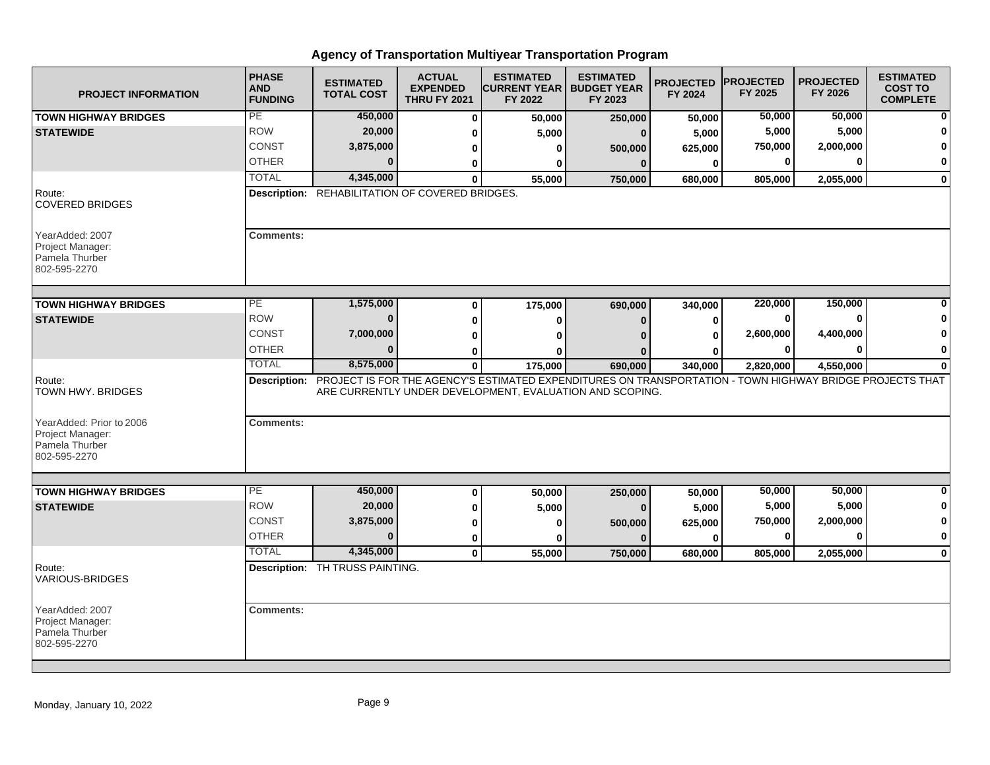| <b>PROJECT INFORMATION</b>                                                     | <b>PHASE</b><br><b>AND</b><br><b>FUNDING</b> | <b>ESTIMATED</b><br><b>TOTAL COST</b>           | <b>ACTUAL</b><br><b>EXPENDED</b><br><b>THRU FY 2021</b> | <b>ESTIMATED</b><br><b>CURRENT YEAR   BUDGET YEAR</b><br>FY 2022                                                                                                                  | <b>ESTIMATED</b><br>FY 2023 | <b>PROJECTED</b><br>FY 2024 | <b>IPROJECTED</b><br>FY 2025 | <b>PROJECTED</b><br>FY 2026 | <b>ESTIMATED</b><br><b>COST TO</b><br><b>COMPLETE</b> |
|--------------------------------------------------------------------------------|----------------------------------------------|-------------------------------------------------|---------------------------------------------------------|-----------------------------------------------------------------------------------------------------------------------------------------------------------------------------------|-----------------------------|-----------------------------|------------------------------|-----------------------------|-------------------------------------------------------|
| <b>TOWN HIGHWAY BRIDGES</b>                                                    | PE                                           | 450,000                                         | $\bf{0}$                                                | 50,000                                                                                                                                                                            | 250,000                     | 50,000                      | 50,000                       | 50,000                      | $\mathbf{0}$                                          |
| <b>STATEWIDE</b>                                                               | <b>ROW</b>                                   | 20,000                                          | 0                                                       | 5,000                                                                                                                                                                             | $\bf{0}$                    | 5,000                       | 5,000                        | 5,000                       | 0                                                     |
|                                                                                | <b>CONST</b>                                 | 3,875,000                                       | 0                                                       | 0                                                                                                                                                                                 | 500,000                     | 625,000                     | 750,000                      | 2,000,000                   | $\mathbf{0}$                                          |
|                                                                                | <b>OTHER</b>                                 | $\Omega$                                        | 0                                                       | $\bf{0}$                                                                                                                                                                          | $\mathbf{0}$                | $\mathbf{0}$                | 0                            |                             | $\mathbf{0}$                                          |
|                                                                                | <b>TOTAL</b>                                 | 4,345,000                                       | $\Omega$                                                | 55,000                                                                                                                                                                            | 750,000                     | 680,000                     | 805,000                      | 2,055,000                   | $\mathbf{0}$                                          |
| Route:<br><b>COVERED BRIDGES</b>                                               |                                              | Description: REHABILITATION OF COVERED BRIDGES. |                                                         |                                                                                                                                                                                   |                             |                             |                              |                             |                                                       |
| YearAdded: 2007<br>Project Manager:<br>Pamela Thurber<br>802-595-2270          | <b>Comments:</b>                             |                                                 |                                                         |                                                                                                                                                                                   |                             |                             |                              |                             |                                                       |
| <b>TOWN HIGHWAY BRIDGES</b>                                                    | PE                                           | 1,575,000                                       | $\bf{0}$                                                | 175,000                                                                                                                                                                           | 690,000                     | 340,000                     | 220,000                      | 150,000                     |                                                       |
| <b>STATEWIDE</b>                                                               | <b>ROW</b>                                   | $\bf{0}$                                        | 0                                                       | $\bf{0}$                                                                                                                                                                          | $\bf{0}$                    | $\mathbf{0}$                | 0                            |                             | 0                                                     |
|                                                                                | <b>CONST</b>                                 | 7,000,000                                       | $\bf{0}$                                                |                                                                                                                                                                                   | O                           | 0                           | 2,600,000                    | 4,400,000                   | 0                                                     |
|                                                                                | <b>OTHER</b>                                 | $\bf{0}$                                        | 0                                                       |                                                                                                                                                                                   |                             |                             | 0                            |                             | $\mathbf{0}$                                          |
|                                                                                | <b>TOTAL</b>                                 | 8,575,000                                       | 0                                                       | 175,000                                                                                                                                                                           | 690,000                     | 340,000                     | 2,820,000                    | 4,550,000                   | $\mathbf{0}$                                          |
| Route:<br>TOWN HWY. BRIDGES                                                    |                                              |                                                 |                                                         | Description: PROJECT IS FOR THE AGENCY'S ESTIMATED EXPENDITURES ON TRANSPORTATION - TOWN HIGHWAY BRIDGE PROJECTS THAT<br>ARE CURRENTLY UNDER DEVELOPMENT, EVALUATION AND SCOPING. |                             |                             |                              |                             |                                                       |
| YearAdded: Prior to 2006<br>Project Manager:<br>Pamela Thurber<br>802-595-2270 | <b>Comments:</b>                             |                                                 |                                                         |                                                                                                                                                                                   |                             |                             |                              |                             |                                                       |
| <b>TOWN HIGHWAY BRIDGES</b>                                                    | PE                                           | 450,000                                         | $\mathbf 0$                                             |                                                                                                                                                                                   |                             |                             | 50,000                       | 50,000                      | $\mathbf{0}$                                          |
| <b>STATEWIDE</b>                                                               | <b>ROW</b>                                   | 20,000                                          | $\bf{0}$                                                | 50,000<br>5,000                                                                                                                                                                   | 250,000<br>$\mathbf{0}$     | 50,000                      | 5,000                        | 5,000                       | $\mathbf{0}$                                          |
|                                                                                | <b>CONST</b>                                 | 3,875,000                                       | 0                                                       | 0                                                                                                                                                                                 |                             | 5,000<br>625,000            | 750,000                      | 2,000,000                   | $\mathbf{0}$                                          |
|                                                                                | <b>OTHER</b>                                 | $\bf{0}$                                        | 0                                                       | 0                                                                                                                                                                                 | 500,000<br>$\mathbf{0}$     | $\mathbf{0}$                | 0                            |                             | $\mathbf{0}$                                          |
|                                                                                | <b>TOTAL</b>                                 | 4,345,000                                       | $\mathbf{0}$                                            | 55,000                                                                                                                                                                            | 750,000                     | 680.000                     | 805,000                      | 2,055,000                   | $\mathbf{0}$                                          |
| Route:<br><b>VARIOUS-BRIDGES</b>                                               |                                              | Description: TH TRUSS PAINTING.                 |                                                         |                                                                                                                                                                                   |                             |                             |                              |                             |                                                       |
| YearAdded: 2007<br>Project Manager:<br>Pamela Thurber<br>802-595-2270          | <b>Comments:</b>                             |                                                 |                                                         |                                                                                                                                                                                   |                             |                             |                              |                             |                                                       |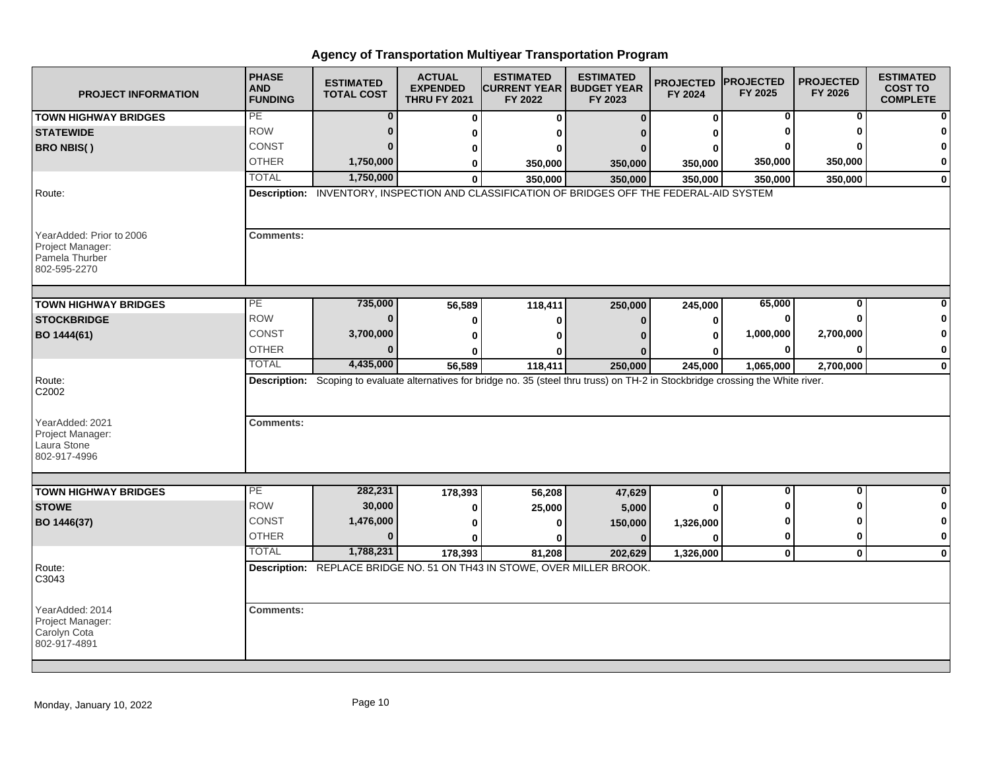| <b>PROJECT INFORMATION</b>                                                     | <b>PHASE</b><br><b>AND</b><br><b>FUNDING</b>                                                                                        | <b>ESTIMATED</b><br><b>TOTAL COST</b> | <b>ACTUAL</b><br><b>EXPENDED</b><br><b>THRU FY 2021</b> | <b>ESTIMATED</b><br><b>ICURRENT YEAR   BUDGET YEAR</b><br>FY 2022       | <b>ESTIMATED</b><br>FY 2023 | <b>PROJECTED</b><br>FY 2024 | <b>PROJECTED</b><br>FY 2025 | <b>PROJECTED</b><br>FY 2026 | <b>ESTIMATED</b><br><b>COST TO</b><br><b>COMPLETE</b> |  |
|--------------------------------------------------------------------------------|-------------------------------------------------------------------------------------------------------------------------------------|---------------------------------------|---------------------------------------------------------|-------------------------------------------------------------------------|-----------------------------|-----------------------------|-----------------------------|-----------------------------|-------------------------------------------------------|--|
| <b>TOWN HIGHWAY BRIDGES</b>                                                    | PE                                                                                                                                  | $\bf{0}$                              | $\bf{0}$                                                | $\Omega$                                                                | $\mathbf{0}$                | 0                           | 0                           | 0                           |                                                       |  |
| <b>STATEWIDE</b>                                                               | <b>ROW</b>                                                                                                                          | $\mathbf{0}$                          | 0                                                       | ŋ                                                                       | n                           |                             |                             |                             |                                                       |  |
| <b>BRO NBIS()</b>                                                              | <b>CONST</b>                                                                                                                        | $\Omega$                              | 0                                                       | o                                                                       | $\Omega$                    |                             |                             |                             |                                                       |  |
|                                                                                | <b>OTHER</b>                                                                                                                        | 1,750,000                             | 0                                                       | 350,000                                                                 | 350,000                     | 350,000                     | 350,000                     | 350,000                     | 0                                                     |  |
|                                                                                | <b>TOTAL</b>                                                                                                                        | 1,750,000                             | $\mathbf{0}$                                            | 350,000                                                                 | 350.000                     | 350,000                     | 350,000                     | 350,000                     | $\bf{0}$                                              |  |
| Route:                                                                         | Description: INVENTORY, INSPECTION AND CLASSIFICATION OF BRIDGES OFF THE FEDERAL-AID SYSTEM                                         |                                       |                                                         |                                                                         |                             |                             |                             |                             |                                                       |  |
| YearAdded: Prior to 2006<br>Project Manager:<br>Pamela Thurber<br>802-595-2270 | <b>Comments:</b>                                                                                                                    |                                       |                                                         |                                                                         |                             |                             |                             |                             |                                                       |  |
| <b>TOWN HIGHWAY BRIDGES</b>                                                    | $\overline{PE}$                                                                                                                     | 735,000                               | 56,589                                                  | 118,411                                                                 | 250,000                     | 245,000                     | 65,000                      | 0                           |                                                       |  |
| <b>STOCKBRIDGE</b>                                                             | <b>ROW</b>                                                                                                                          | $\bf{0}$                              | 0                                                       | 0                                                                       | $\bf{0}$                    | 0                           |                             |                             |                                                       |  |
| BO 1444(61)                                                                    | CONST                                                                                                                               | 3,700,000                             | $\bf{0}$                                                | ŋ                                                                       |                             | 0                           | 1,000,000                   | 2,700,000                   | ŋ                                                     |  |
|                                                                                | <b>OTHER</b>                                                                                                                        | $\Omega$                              | ŋ                                                       | n                                                                       |                             |                             | 0                           | O                           | 0                                                     |  |
|                                                                                | <b>TOTAL</b>                                                                                                                        | 4,435,000                             | 56,589                                                  | 118,411                                                                 | 250,000                     | 245,000                     | 1,065,000                   | 2,700,000                   | $\mathbf 0$                                           |  |
| Route:<br>C2002                                                                | Description: Scoping to evaluate alternatives for bridge no. 35 (steel thru truss) on TH-2 in Stockbridge crossing the White river. |                                       |                                                         |                                                                         |                             |                             |                             |                             |                                                       |  |
| YearAdded: 2021<br>Project Manager:<br>Laura Stone<br>802-917-4996             | <b>Comments:</b>                                                                                                                    |                                       |                                                         |                                                                         |                             |                             |                             |                             |                                                       |  |
| <b>TOWN HIGHWAY BRIDGES</b>                                                    | PE                                                                                                                                  | 282,231                               | 178,393                                                 | 56,208                                                                  | 47,629                      | $\mathbf{0}$                | $\bf{0}$                    | $\mathbf 0$                 | 0                                                     |  |
| <b>STOWE</b>                                                                   | <b>ROW</b>                                                                                                                          | 30,000                                | 0                                                       | 25,000                                                                  | 5,000                       |                             |                             | n                           | 0                                                     |  |
| BO 1446(37)                                                                    | <b>CONST</b>                                                                                                                        | 1,476,000                             | 0                                                       | O                                                                       | 150,000                     | 1,326,000                   |                             | n                           |                                                       |  |
|                                                                                | <b>OTHER</b>                                                                                                                        | $\bf{0}$                              | $\bf{0}$                                                | ŋ                                                                       | $\bf{0}$                    | U                           | 0                           | 0                           | 0                                                     |  |
|                                                                                | <b>TOTAL</b>                                                                                                                        | 1,788,231                             | 178,393                                                 | 81.208                                                                  | 202.629                     | 1,326,000                   | $\mathbf{0}$                | $\mathbf 0$                 | $\Omega$                                              |  |
| Route:<br>C3043                                                                |                                                                                                                                     |                                       |                                                         | Description: REPLACE BRIDGE NO. 51 ON TH43 IN STOWE, OVER MILLER BROOK. |                             |                             |                             |                             |                                                       |  |
| YearAdded: 2014<br>Project Manager:<br>Carolyn Cota<br>802-917-4891            | <b>Comments:</b>                                                                                                                    |                                       |                                                         |                                                                         |                             |                             |                             |                             |                                                       |  |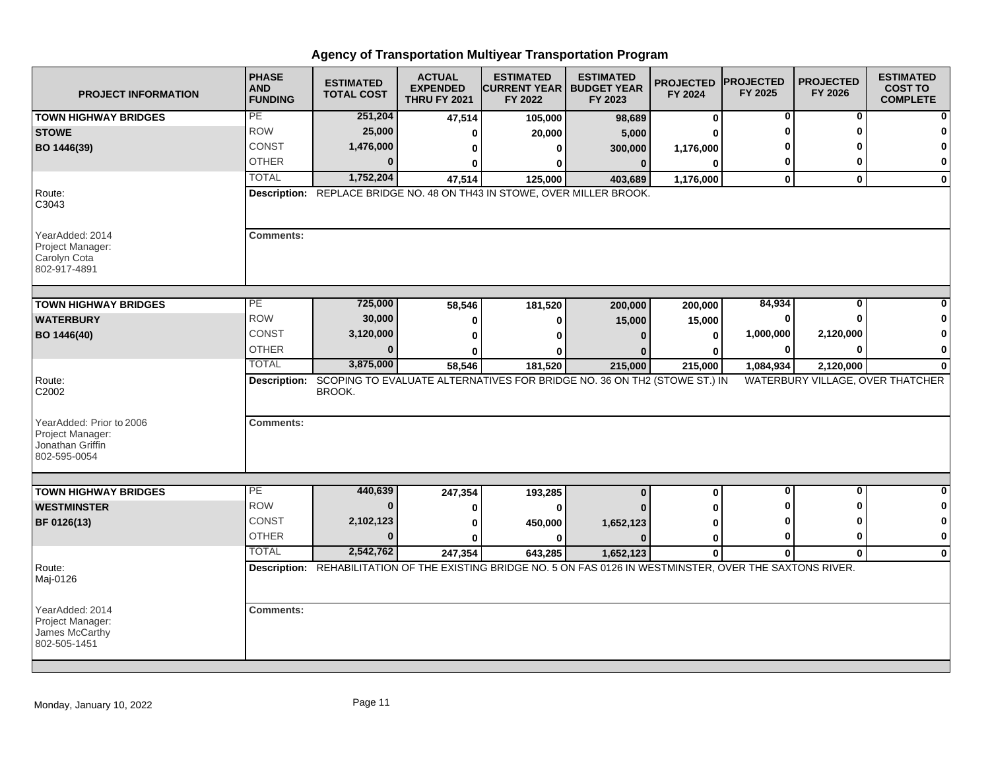| <b>PROJECT INFORMATION</b>                                            | <b>PHASE</b><br><b>AND</b><br><b>FUNDING</b>                            | <b>ESTIMATED</b><br><b>TOTAL COST</b> | <b>ACTUAL</b><br><b>EXPENDED</b><br><b>THRU FY 2021</b> | <b>ESTIMATED</b><br><b>CURRENT YEAR   BUDGET YEAR</b><br>FY 2022 | <b>ESTIMATED</b><br>FY 2023                                                                                  | <b>PROJECTED</b><br>FY 2024 | <b>PROJECTED</b><br>FY 2025 | <b>PROJECTED</b><br>FY 2026 | <b>ESTIMATED</b><br><b>COST TO</b><br><b>COMPLETE</b> |
|-----------------------------------------------------------------------|-------------------------------------------------------------------------|---------------------------------------|---------------------------------------------------------|------------------------------------------------------------------|--------------------------------------------------------------------------------------------------------------|-----------------------------|-----------------------------|-----------------------------|-------------------------------------------------------|
| <b>TOWN HIGHWAY BRIDGES</b>                                           | PE                                                                      | 251,204                               | 47,514                                                  | 105,000                                                          | 98,689                                                                                                       | $\mathbf 0$                 | 0                           | 0                           |                                                       |
| <b>STOWE</b>                                                          | <b>ROW</b>                                                              | 25,000                                | O                                                       | 20,000                                                           | 5,000                                                                                                        | U                           | O                           | ŋ                           |                                                       |
| BO 1446(39)                                                           | <b>CONST</b>                                                            | 1,476,000                             | 0                                                       | $\mathbf{0}$                                                     | 300,000                                                                                                      | 1,176,000                   |                             |                             |                                                       |
|                                                                       | <b>OTHER</b>                                                            | $\Omega$                              | ŋ                                                       | 0                                                                | $\bf{0}$                                                                                                     | $\bf{0}$                    | 0                           | O                           | 0                                                     |
|                                                                       | <b>TOTAL</b>                                                            | 1,752,204                             | 47,514                                                  | 125,000                                                          | 403,689                                                                                                      | 1,176,000                   | $\mathbf 0$                 | $\mathbf{0}$                | $\mathbf 0$                                           |
| Route:<br>C3043                                                       | Description: REPLACE BRIDGE NO. 48 ON TH43 IN STOWE, OVER MILLER BROOK. |                                       |                                                         |                                                                  |                                                                                                              |                             |                             |                             |                                                       |
| YearAdded: 2014<br>Project Manager:<br>Carolyn Cota<br>802-917-4891   | <b>Comments:</b>                                                        |                                       |                                                         |                                                                  |                                                                                                              |                             |                             |                             |                                                       |
| <b>TOWN HIGHWAY BRIDGES</b>                                           | PE                                                                      | 725,000                               | 58,546                                                  | 181,520                                                          | 200,000                                                                                                      | 200,000                     | 84,934                      | $\bf{0}$                    |                                                       |
| <b>WATERBURY</b>                                                      | <b>ROW</b>                                                              | 30,000                                | 0                                                       | $\bf{0}$                                                         | 15,000                                                                                                       | 15,000                      | ŋ                           | <sup>0</sup>                |                                                       |
| BO 1446(40)                                                           | <b>CONST</b>                                                            | 3,120,000                             | 0                                                       | U                                                                |                                                                                                              | $\bf{0}$                    | 1,000,000                   | 2,120,000                   | 0                                                     |
|                                                                       | <b>OTHER</b>                                                            | $\bf{0}$                              | ŋ                                                       | ŋ                                                                |                                                                                                              | O                           | 0                           | $\bf{0}$                    | 0                                                     |
|                                                                       | <b>TOTAL</b>                                                            | 3,875,000                             | 58,546                                                  | 181,520                                                          | 215,000                                                                                                      | 215,000                     | 1,084,934                   | 2,120,000                   | $\bf{0}$                                              |
| Route:<br>C2002<br>YearAdded: Prior to 2006                           | <b>Description:</b><br><b>Comments:</b>                                 | BROOK.                                |                                                         |                                                                  | SCOPING TO EVALUATE ALTERNATIVES FOR BRIDGE NO. 36 ON TH2 (STOWE ST.) IN                                     |                             |                             |                             | WATERBURY VILLAGE, OVER THATCHER                      |
| Project Manager:<br>Jonathan Griffin<br>802-595-0054                  |                                                                         |                                       |                                                         |                                                                  |                                                                                                              |                             |                             |                             |                                                       |
| <b>TOWN HIGHWAY BRIDGES</b>                                           | PE                                                                      | 440,639                               | 247,354                                                 | 193,285                                                          | $\bf{0}$                                                                                                     | $\bf{0}$                    | 0                           | 0                           | $\bf{0}$                                              |
| <b>WESTMINSTER</b>                                                    | <b>ROW</b>                                                              | $\bf{0}$                              | 0                                                       | $\bf{0}$                                                         |                                                                                                              | U                           | ŋ                           | ŋ                           | 0                                                     |
| BF 0126(13)                                                           | <b>CONST</b>                                                            | 2,102,123                             | 0                                                       | 450,000                                                          | 1,652,123                                                                                                    | 0                           | O                           | ŋ                           | 0                                                     |
|                                                                       | <b>OTHER</b>                                                            | $\Omega$                              | O                                                       | 0                                                                |                                                                                                              | 0                           | $\bf{0}$                    | $\bf{0}$                    | $\mathbf 0$                                           |
|                                                                       | <b>TOTAL</b>                                                            | 2,542,762                             | 247,354                                                 | 643,285                                                          | 1,652,123                                                                                                    | $\bf{0}$                    | $\mathbf 0$                 | $\mathbf{0}$                | $\mathbf 0$                                           |
| Route:<br>Maj-0126                                                    |                                                                         |                                       |                                                         |                                                                  | Description: REHABILITATION OF THE EXISTING BRIDGE NO. 5 ON FAS 0126 IN WESTMINSTER, OVER THE SAXTONS RIVER. |                             |                             |                             |                                                       |
| YearAdded: 2014<br>Project Manager:<br>James McCarthy<br>802-505-1451 | <b>Comments:</b>                                                        |                                       |                                                         |                                                                  |                                                                                                              |                             |                             |                             |                                                       |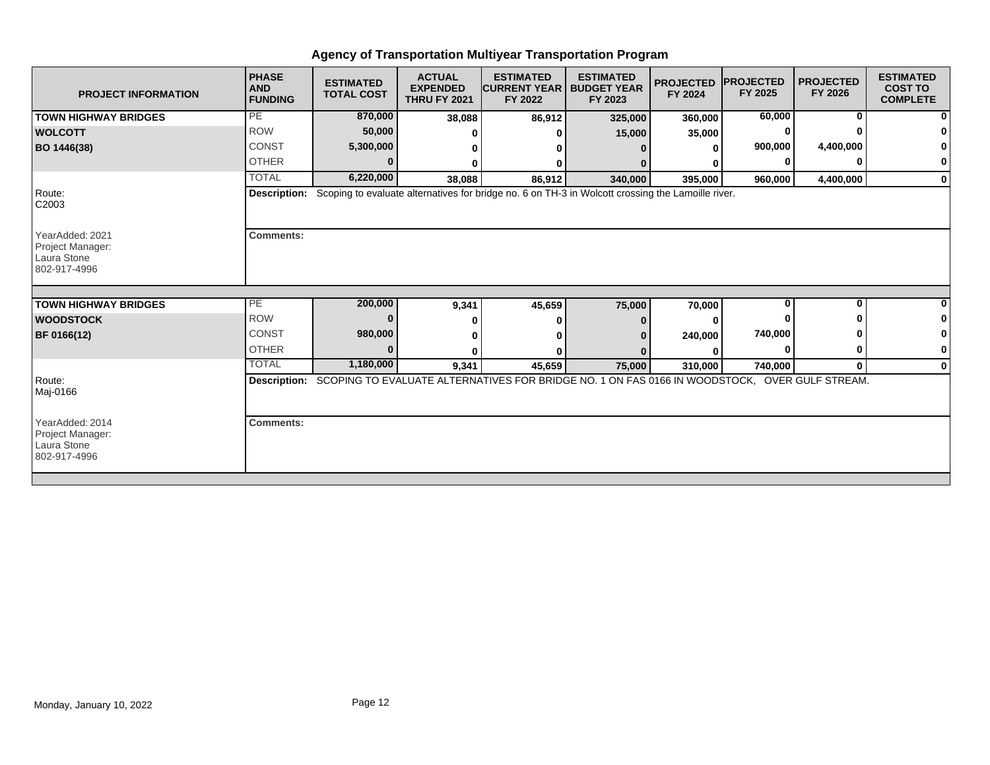| PE<br>60,000<br>870,000<br><b>TOWN HIGHWAY BRIDGES</b><br>38,088<br>86,912<br>325,000<br>360,000<br><b>ROW</b><br>50,000<br><b>WOLCOTT</b><br>15,000<br>35,000<br>900,000<br><b>CONST</b><br>5,300,000<br>BO 1446(38)<br>O<br><b>OTHER</b><br>ŋ<br><b>TOTAL</b><br>6,220,000<br>38,088<br>86,912<br>340,000<br>395,000<br>960,000<br>Route:<br>Description: Scoping to evaluate alternatives for bridge no. 6 on TH-3 in Wolcott crossing the Lamoille river.<br>C2003 | <sup>0</sup><br>4,400,000<br>0<br>ŋ<br>4,400,000<br>$\bf{0}$                                               |  |  |  |  |  |  |  |  |
|------------------------------------------------------------------------------------------------------------------------------------------------------------------------------------------------------------------------------------------------------------------------------------------------------------------------------------------------------------------------------------------------------------------------------------------------------------------------|------------------------------------------------------------------------------------------------------------|--|--|--|--|--|--|--|--|
|                                                                                                                                                                                                                                                                                                                                                                                                                                                                        |                                                                                                            |  |  |  |  |  |  |  |  |
|                                                                                                                                                                                                                                                                                                                                                                                                                                                                        |                                                                                                            |  |  |  |  |  |  |  |  |
|                                                                                                                                                                                                                                                                                                                                                                                                                                                                        |                                                                                                            |  |  |  |  |  |  |  |  |
|                                                                                                                                                                                                                                                                                                                                                                                                                                                                        |                                                                                                            |  |  |  |  |  |  |  |  |
|                                                                                                                                                                                                                                                                                                                                                                                                                                                                        |                                                                                                            |  |  |  |  |  |  |  |  |
|                                                                                                                                                                                                                                                                                                                                                                                                                                                                        |                                                                                                            |  |  |  |  |  |  |  |  |
| YearAdded: 2021<br><b>Comments:</b><br>Project Manager:<br>Laura Stone<br>802-917-4996                                                                                                                                                                                                                                                                                                                                                                                 |                                                                                                            |  |  |  |  |  |  |  |  |
| PE<br>200,000<br>U<br><b>TOWN HIGHWAY BRIDGES</b>                                                                                                                                                                                                                                                                                                                                                                                                                      | $\bf{0}$                                                                                                   |  |  |  |  |  |  |  |  |
| 9,341<br>45,659<br>70,000<br>75,000<br><b>ROW</b><br><b>WOODSTOCK</b>                                                                                                                                                                                                                                                                                                                                                                                                  |                                                                                                            |  |  |  |  |  |  |  |  |
| <b>CONST</b><br>740,000<br>980,000<br>BF 0166(12)<br>240,000                                                                                                                                                                                                                                                                                                                                                                                                           |                                                                                                            |  |  |  |  |  |  |  |  |
| <b>OTHER</b><br>$\Omega$                                                                                                                                                                                                                                                                                                                                                                                                                                               | 0                                                                                                          |  |  |  |  |  |  |  |  |
| <b>TOTAL</b><br>1,180,000<br>9,341<br>45,659<br>75,000<br>310,000<br>740,000                                                                                                                                                                                                                                                                                                                                                                                           | $\mathbf{0}$<br>$\mathbf 0$                                                                                |  |  |  |  |  |  |  |  |
| Route:<br>Maj-0166                                                                                                                                                                                                                                                                                                                                                                                                                                                     | Description: SCOPING TO EVALUATE ALTERNATIVES FOR BRIDGE NO. 1 ON FAS 0166 IN WOODSTOCK, OVER GULF STREAM. |  |  |  |  |  |  |  |  |
| YearAdded: 2014<br><b>Comments:</b><br>Project Manager:<br>Laura Stone<br>802-917-4996                                                                                                                                                                                                                                                                                                                                                                                 |                                                                                                            |  |  |  |  |  |  |  |  |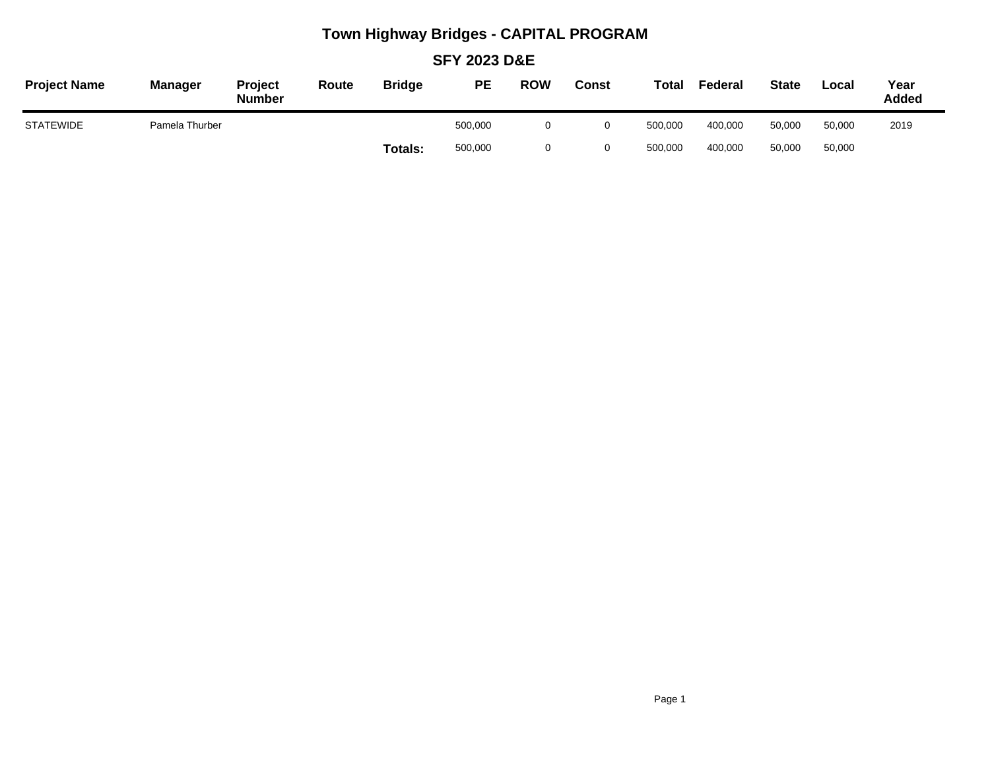## **Town Highway Bridges - CAPITAL PROGRAM**

**SFY 2023 D&E**

| <b>Project Name</b> | <b>Manager</b> | Project<br><b>Number</b> | Route | <b>Bridge</b> | PE      | <b>ROW</b> | Const | <b>Total</b> | Federal | <b>State</b> | Local  | Year<br>Added |
|---------------------|----------------|--------------------------|-------|---------------|---------|------------|-------|--------------|---------|--------------|--------|---------------|
| <b>STATEWIDE</b>    | Pamela Thurber |                          |       |               | 500,000 |            |       | 500.000      | 400.000 | 50.000       | 50,000 | 2019          |
|                     |                |                          |       | Totals:       | 500,000 |            |       | 500,000      | 400,000 | 50,000       | 50,000 |               |